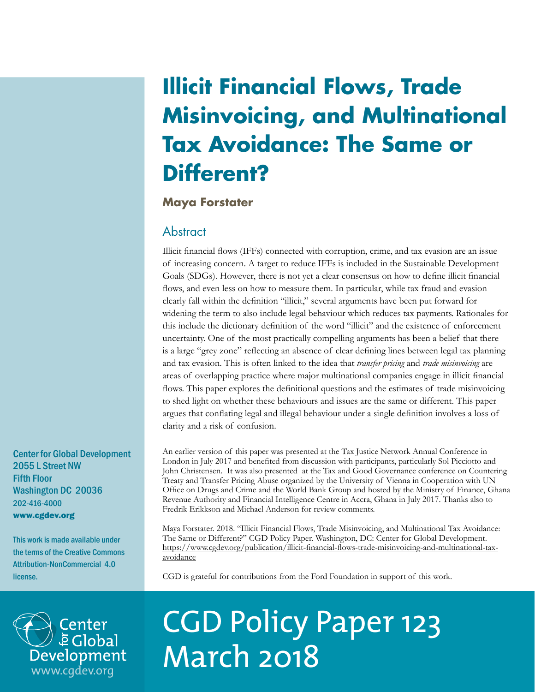## **Illicit Financial Flows, Trade Misinvoicing, and Multinational Tax Avoidance: The Same or Different?**

## **Maya Forstater**

## Abstract

Illicit financial flows (IFFs) connected with corruption, crime, and tax evasion are an issue of increasing concern. A target to reduce IFFs is included in the Sustainable Development Goals (SDGs). However, there is not yet a clear consensus on how to define illicit financial flows, and even less on how to measure them. In particular, while tax fraud and evasion clearly fall within the definition "illicit," several arguments have been put forward for widening the term to also include legal behaviour which reduces tax payments. Rationales for this include the dictionary definition of the word "illicit" and the existence of enforcement uncertainty. One of the most practically compelling arguments has been a belief that there is a large "grey zone" reflecting an absence of clear defining lines between legal tax planning and tax evasion. This is often linked to the idea that *transfer pricing* and *trade misinvoicing* are areas of overlapping practice where major multinational companies engage in illicit financial flows. This paper explores the definitional questions and the estimates of trade misinvoicing to shed light on whether these behaviours and issues are the same or different. This paper argues that conflating legal and illegal behaviour under a single definition involves a loss of clarity and a risk of confusion.

Center for Global Development 2055 L Street NW Fifth Floor Washington DC 20036 202-416-4000 www.cgdev.org

This work is made available under the terms of the Creative Commons Attribution-NonCommercial 4.0 license.

An earlier version of this paper was presented at the Tax Justice Network Annual Conference in London in July 2017 and benefited from discussion with participants, particularly Sol Picciotto and John Christensen. It was also presented at the Tax and Good Governance conference on Countering Treaty and Transfer Pricing Abuse organized by the University of Vienna in Cooperation with UN Office on Drugs and Crime and the World Bank Group and hosted by the Ministry of Finance, Ghana Revenue Authority and Financial Intelligence Centre in Accra, Ghana in July 2017. Thanks also to Fredrik Erikkson and Michael Anderson for review comments.

Maya Forstater. 2018. "Illicit Financial Flows, Trade Misinvoicing, and Multinational Tax Avoidance: The Same or Different?" CGD Policy Paper. Washington, DC: Center for Global Development. [https://www.cgdev.org/publication/illicit-financial-flows-trade-misinvoicing-and-multinational-tax](https://www.cgdev.org/publication/illicit-financial-flows-trade-misinvoicing-and-multinational-tax-avoidance)[avoidance](https://www.cgdev.org/publication/illicit-financial-flows-trade-misinvoicing-and-multinational-tax-avoidance)

CGD is grateful for contributions from the Ford Foundation in support of this work.



# CGD Policy Paper 123 March 2018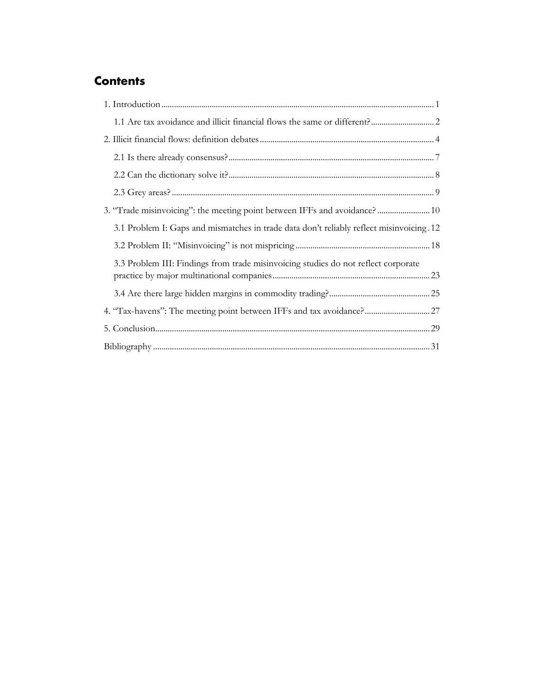## **Contents**

| 3. "Trade misinvoicing": the meeting point between IFFs and avoidance? 10                |
|------------------------------------------------------------------------------------------|
| 3.1 Problem I: Gaps and mismatches in trade data don't reliably reflect misinvoicing .12 |
|                                                                                          |
| 3.3 Problem III: Findings from trade misinvoicing studies do not reflect corporate       |
|                                                                                          |
| 4. "Tax-havens": The meeting point between IFFs and tax avoidance? 27                    |
|                                                                                          |
|                                                                                          |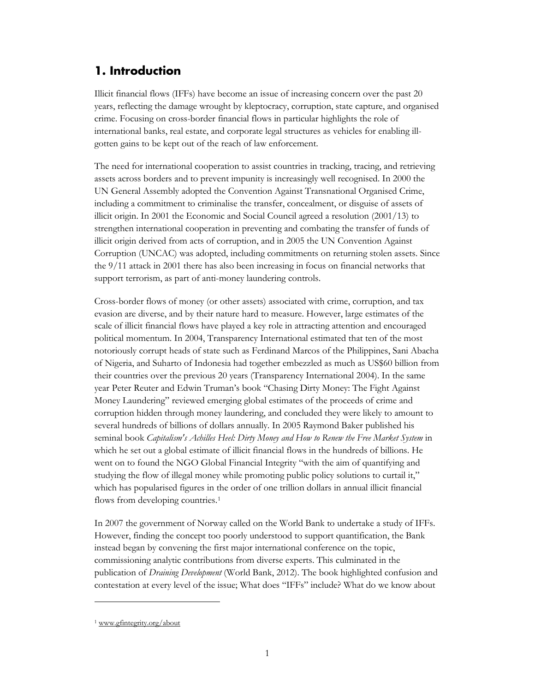## <span id="page-2-0"></span>**1. Introduction**

Illicit financial flows (IFFs) have become an issue of increasing concern over the past 20 years, reflecting the damage wrought by kleptocracy, corruption, state capture, and organised crime. Focusing on cross-border financial flows in particular highlights the role of international banks, real estate, and corporate legal structures as vehicles for enabling illgotten gains to be kept out of the reach of law enforcement.

The need for international cooperation to assist countries in tracking, tracing, and retrieving assets across borders and to prevent impunity is increasingly well recognised. In 2000 the UN General Assembly adopted the Convention Against Transnational Organised Crime, including a commitment to criminalise the transfer, concealment, or disguise of assets of illicit origin. In 2001 the Economic and Social Council agreed a resolution (2001/13) to strengthen international cooperation in preventing and combating the transfer of funds of illicit origin derived from acts of corruption, and in 2005 the UN Convention Against Corruption (UNCAC) was adopted, including commitments on returning stolen assets. Since the 9/11 attack in 2001 there has also been increasing in focus on financial networks that support terrorism, as part of anti-money laundering controls.

Cross-border flows of money (or other assets) associated with crime, corruption, and tax evasion are diverse, and by their nature hard to measure. However, large estimates of the scale of illicit financial flows have played a key role in attracting attention and encouraged political momentum. In 2004, Transparency International estimated that ten of the most notoriously corrupt heads of state such as Ferdinand Marcos of the Philippines, Sani Abacha of Nigeria, and Suharto of Indonesia had together embezzled as much as US\$60 billion from their countries over the previous 20 years (Transparency International 2004). In the same year Peter Reuter and Edwin Truman's book "Chasing Dirty Money: The Fight Against Money Laundering" reviewed emerging global estimates of the proceeds of crime and corruption hidden through money laundering, and concluded they were likely to amount to several hundreds of billions of dollars annually. In 2005 Raymond Baker published his seminal book *Capitalism's Achilles Heel: Dirty Money and How to Renew the Free Market System* in which he set out a global estimate of illicit financial flows in the hundreds of billions. He went on to found the NGO Global Financial Integrity "with the aim of quantifying and studying the flow of illegal money while promoting public policy solutions to curtail it," which has popularised figures in the order of one trillion dollars in annual illicit financial flows from developing countries.<sup>[1](#page-2-1)</sup>

In 2007 the government of Norway called on the World Bank to undertake a study of IFFs. However, finding the concept too poorly understood to support quantification, the Bank instead began by convening the first major international conference on the topic, commissioning analytic contributions from diverse experts. This culminated in the publication of *Draining Development* (World Bank, 2012). The book highlighted confusion and contestation at every level of the issue; What does "IFFs" include? What do we know about

 $\ddot{\phantom{a}}$ 

<span id="page-2-1"></span><sup>1</sup> [www.gfintegrity.org/about](http://www.gfintegrity.org/about)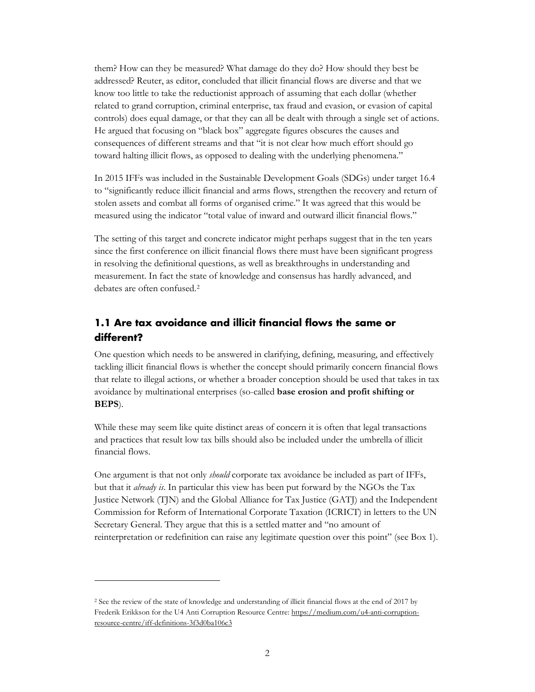them? How can they be measured? What damage do they do? How should they best be addressed? Reuter, as editor, concluded that illicit financial flows are diverse and that we know too little to take the reductionist approach of assuming that each dollar (whether related to grand corruption, criminal enterprise, tax fraud and evasion, or evasion of capital controls) does equal damage, or that they can all be dealt with through a single set of actions. He argued that focusing on "black box" aggregate figures obscures the causes and consequences of different streams and that "it is not clear how much effort should go toward halting illicit flows, as opposed to dealing with the underlying phenomena."

In 2015 IFFs was included in the Sustainable Development Goals (SDGs) under target 16.4 to "significantly reduce illicit financial and arms flows, strengthen the recovery and return of stolen assets and combat all forms of organised crime." It was agreed that this would be measured using the indicator "total value of inward and outward illicit financial flows."

The setting of this target and concrete indicator might perhaps suggest that in the ten years since the first conference on illicit financial flows there must have been significant progress in resolving the definitional questions, as well as breakthroughs in understanding and measurement. In fact the state of knowledge and consensus has hardly advanced, and debates are often confused.[2](#page-3-1)

## <span id="page-3-0"></span>**1.1 Are tax avoidance and illicit financial flows the same or different?**

One question which needs to be answered in clarifying, defining, measuring, and effectively tackling illicit financial flows is whether the concept should primarily concern financial flows that relate to illegal actions, or whether a broader conception should be used that takes in tax avoidance by multinational enterprises (so-called **base erosion and profit shifting or BEPS**).

While these may seem like quite distinct areas of concern it is often that legal transactions and practices that result low tax bills should also be included under the umbrella of illicit financial flows.

One argument is that not only *should* corporate tax avoidance be included as part of IFFs, but that it *already is*. In particular this view has been put forward by the NGOs the Tax Justice Network (TJN) and the Global Alliance for Tax Justice (GATJ) and the Independent Commission for Reform of International Corporate Taxation (ICRICT) in letters to the UN Secretary General. They argue that this is a settled matter and "no amount of reinterpretation or redefinition can raise any legitimate question over this point" (see Box 1).

 $\overline{a}$ 

<span id="page-3-1"></span><sup>2</sup> See the review of the state of knowledge and understanding of illicit financial flows at the end of 2017 by Frederik Erikkson for the U4 Anti Corruption Resource Centre[: https://medium.com/u4-anti-corruption](https://medium.com/u4-anti-corruption-resource-centre/iff-definitions-3f3d0ba106c3)[resource-centre/iff-definitions-3f3d0ba106c3](https://medium.com/u4-anti-corruption-resource-centre/iff-definitions-3f3d0ba106c3)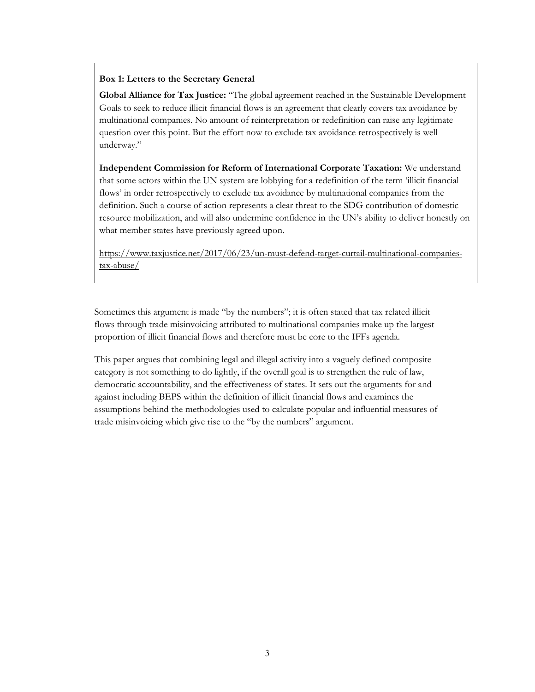#### **Box 1: Letters to the Secretary General**

**Global Alliance for Tax Justice:** "The global agreement reached in the Sustainable Development Goals to seek to reduce illicit financial flows is an agreement that clearly covers tax avoidance by multinational companies. No amount of reinterpretation or redefinition can raise any legitimate question over this point. But the effort now to exclude tax avoidance retrospectively is well underway."

**Independent Commission for Reform of International Corporate Taxation:** We understand that some actors within the UN system are lobbying for a redefinition of the term 'illicit financial flows' in order retrospectively to exclude tax avoidance by multinational companies from the definition. Such a course of action represents a clear threat to the SDG contribution of domestic resource mobilization, and will also undermine confidence in the UN's ability to deliver honestly on what member states have previously agreed upon.

[https://www.taxjustice.net/2017/06/23/un-must-defend-target-curtail-multinational-companies](https://www.taxjustice.net/2017/06/23/un-must-defend-target-curtail-multinational-companies-tax-abuse/)[tax-abuse/](https://www.taxjustice.net/2017/06/23/un-must-defend-target-curtail-multinational-companies-tax-abuse/)

Sometimes this argument is made "by the numbers"; it is often stated that tax related illicit flows through trade misinvoicing attributed to multinational companies make up the largest proportion of illicit financial flows and therefore must be core to the IFFs agenda.

This paper argues that combining legal and illegal activity into a vaguely defined composite category is not something to do lightly, if the overall goal is to strengthen the rule of law, democratic accountability, and the effectiveness of states. It sets out the arguments for and against including BEPS within the definition of illicit financial flows and examines the assumptions behind the methodologies used to calculate popular and influential measures of trade misinvoicing which give rise to the "by the numbers" argument.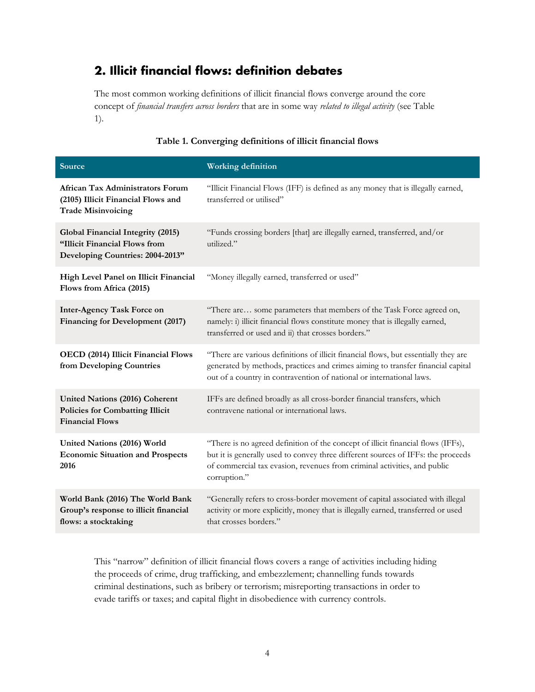## <span id="page-5-0"></span>**2. Illicit financial flows: definition debates**

The most common working definitions of illicit financial flows converge around the core concept of *financial transfers across borders* that are in some way *related to illegal activity* (see Table 1).

| Source                                                                                                    | <b>Working definition</b>                                                                                                                                                                                                                                        |
|-----------------------------------------------------------------------------------------------------------|------------------------------------------------------------------------------------------------------------------------------------------------------------------------------------------------------------------------------------------------------------------|
| African Tax Administrators Forum<br>(2105) Illicit Financial Flows and<br><b>Trade Misinvoicing</b>       | "Illicit Financial Flows (IFF) is defined as any money that is illegally earned,<br>transferred or utilised"                                                                                                                                                     |
| Global Financial Integrity (2015)<br>"Illicit Financial Flows from<br>Developing Countries: 2004-2013"    | "Funds crossing borders [that] are illegally earned, transferred, and/or<br>utilized."                                                                                                                                                                           |
| High Level Panel on Illicit Financial<br>Flows from Africa (2015)                                         | "Money illegally earned, transferred or used"                                                                                                                                                                                                                    |
| <b>Inter-Agency Task Force on</b><br>Financing for Development (2017)                                     | "There are some parameters that members of the Task Force agreed on,<br>namely: i) illicit financial flows constitute money that is illegally earned,<br>transferred or used and ii) that crosses borders."                                                      |
| OECD (2014) Illicit Financial Flows<br>from Developing Countries                                          | "There are various definitions of illicit financial flows, but essentially they are<br>generated by methods, practices and crimes aiming to transfer financial capital<br>out of a country in contravention of national or international laws.                   |
| <b>United Nations (2016) Coherent</b><br><b>Policies for Combatting Illicit</b><br><b>Financial Flows</b> | IFFs are defined broadly as all cross-border financial transfers, which<br>contravene national or international laws.                                                                                                                                            |
| United Nations (2016) World<br><b>Economic Situation and Prospects</b><br>2016                            | "There is no agreed definition of the concept of illicit financial flows (IFFs),<br>but it is generally used to convey three different sources of IFFs: the proceeds<br>of commercial tax evasion, revenues from criminal activities, and public<br>corruption." |
| World Bank (2016) The World Bank<br>Group's response to illicit financial<br>flows: a stocktaking         | "Generally refers to cross-border movement of capital associated with illegal<br>activity or more explicitly, money that is illegally earned, transferred or used<br>that crosses borders."                                                                      |

#### **Table 1. Converging definitions of illicit financial flows**

This "narrow" definition of illicit financial flows covers a range of activities including hiding the proceeds of crime, drug trafficking, and embezzlement; channelling funds towards criminal destinations, such as bribery or terrorism; misreporting transactions in order to evade tariffs or taxes; and capital flight in disobedience with currency controls.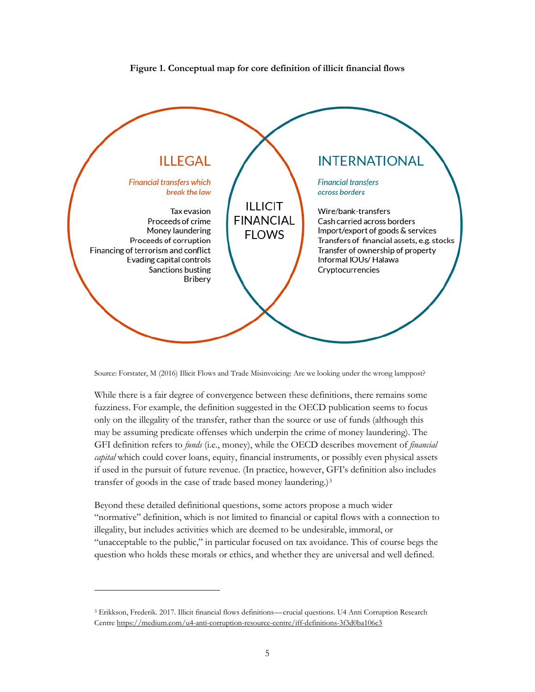



Source: Forstater, M (2016) Illicit Flows and Trade Misinvoicing: Are we looking under the wrong lamppost?

While there is a fair degree of convergence between these definitions, there remains some fuzziness. For example, the definition suggested in the OECD publication seems to focus only on the illegality of the transfer, rather than the source or use of funds (although this may be assuming predicate offenses which underpin the crime of money laundering). The GFI definition refers to *funds* (i.e., money), while the OECD describes movement of *financial capital* which could cover loans, equity, financial instruments, or possibly even physical assets if used in the pursuit of future revenue. (In practice, however, GFI's definition also includes transfer of goods in the case of trade based money laundering.)[3](#page-6-0)

Beyond these detailed definitional questions, some actors propose a much wider "normative" definition, which is not limited to financial or capital flows with a connection to illegality, but includes activities which are deemed to be undesirable, immoral, or "unacceptable to the public," in particular focused on tax avoidance. This of course begs the question who holds these morals or ethics, and whether they are universal and well defined.

 $\overline{a}$ 

<span id="page-6-0"></span><sup>3</sup> Erikkson, Frederik. 2017. Illicit financial flows definitions—crucial questions. U4 Anti Corruption Research Centr[e https://medium.com/u4-anti-corruption-resource-centre/iff-definitions-3f3d0ba106c3](https://medium.com/u4-anti-corruption-resource-centre/iff-definitions-3f3d0ba106c3)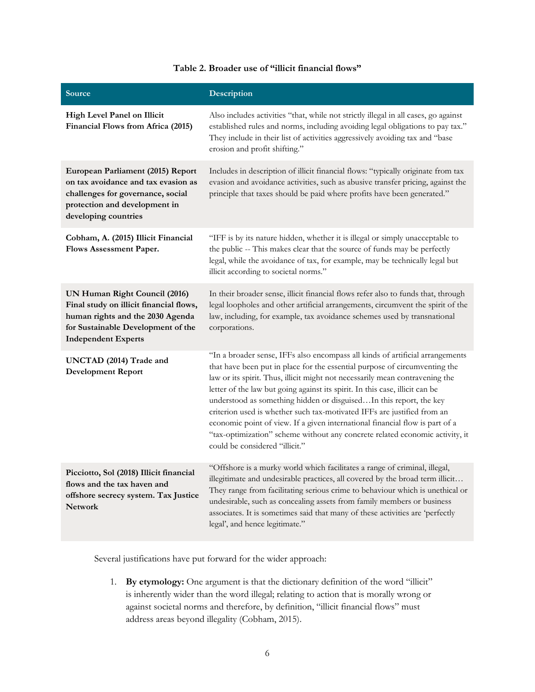| <b>Source</b>                                                                                                                                                                    | Description                                                                                                                                                                                                                                                                                                                                                                                                                                                                                                                                                                                                                                                                    |
|----------------------------------------------------------------------------------------------------------------------------------------------------------------------------------|--------------------------------------------------------------------------------------------------------------------------------------------------------------------------------------------------------------------------------------------------------------------------------------------------------------------------------------------------------------------------------------------------------------------------------------------------------------------------------------------------------------------------------------------------------------------------------------------------------------------------------------------------------------------------------|
| High Level Panel on Illicit<br>Financial Flows from Africa (2015)                                                                                                                | Also includes activities "that, while not strictly illegal in all cases, go against<br>established rules and norms, including avoiding legal obligations to pay tax."<br>They include in their list of activities aggressively avoiding tax and "base<br>erosion and profit shifting."                                                                                                                                                                                                                                                                                                                                                                                         |
| European Parliament (2015) Report<br>on tax avoidance and tax evasion as<br>challenges for governance, social<br>protection and development in<br>developing countries           | Includes in description of illicit financial flows: "typically originate from tax<br>evasion and avoidance activities, such as abusive transfer pricing, against the<br>principle that taxes should be paid where profits have been generated."                                                                                                                                                                                                                                                                                                                                                                                                                                |
| Cobham, A. (2015) Illicit Financial<br>Flows Assessment Paper.                                                                                                                   | "IFF is by its nature hidden, whether it is illegal or simply unacceptable to<br>the public -- This makes clear that the source of funds may be perfectly<br>legal, while the avoidance of tax, for example, may be technically legal but<br>illicit according to societal norms."                                                                                                                                                                                                                                                                                                                                                                                             |
| UN Human Right Council (2016)<br>Final study on illicit financial flows,<br>human rights and the 2030 Agenda<br>for Sustainable Development of the<br><b>Independent Experts</b> | In their broader sense, illicit financial flows refer also to funds that, through<br>legal loopholes and other artificial arrangements, circumvent the spirit of the<br>law, including, for example, tax avoidance schemes used by transnational<br>corporations.                                                                                                                                                                                                                                                                                                                                                                                                              |
| UNCTAD (2014) Trade and<br><b>Development Report</b>                                                                                                                             | "In a broader sense, IFFs also encompass all kinds of artificial arrangements<br>that have been put in place for the essential purpose of circumventing the<br>law or its spirit. Thus, illicit might not necessarily mean contravening the<br>letter of the law but going against its spirit. In this case, illicit can be<br>understood as something hidden or disguisedIn this report, the key<br>criterion used is whether such tax-motivated IFFs are justified from an<br>economic point of view. If a given international financial flow is part of a<br>"tax-optimization" scheme without any concrete related economic activity, it<br>could be considered "illicit." |
| Picciotto, Sol (2018) Illicit financial<br>flows and the tax haven and<br>offshore secrecy system. Tax Justice<br><b>Network</b>                                                 | "Offshore is a murky world which facilitates a range of criminal, illegal,<br>illegitimate and undesirable practices, all covered by the broad term illicit<br>They range from facilitating serious crime to behaviour which is unethical or<br>undesirable, such as concealing assets from family members or business<br>associates. It is sometimes said that many of these activities are 'perfectly<br>legal', and hence legitimate."                                                                                                                                                                                                                                      |

#### **Table 2. Broader use of "illicit financial flows"**

Several justifications have put forward for the wider approach:

1. **By etymology:** One argument is that the dictionary definition of the word "illicit" is inherently wider than the word illegal; relating to action that is morally wrong or against societal norms and therefore, by definition, "illicit financial flows" must address areas beyond illegality (Cobham, 2015).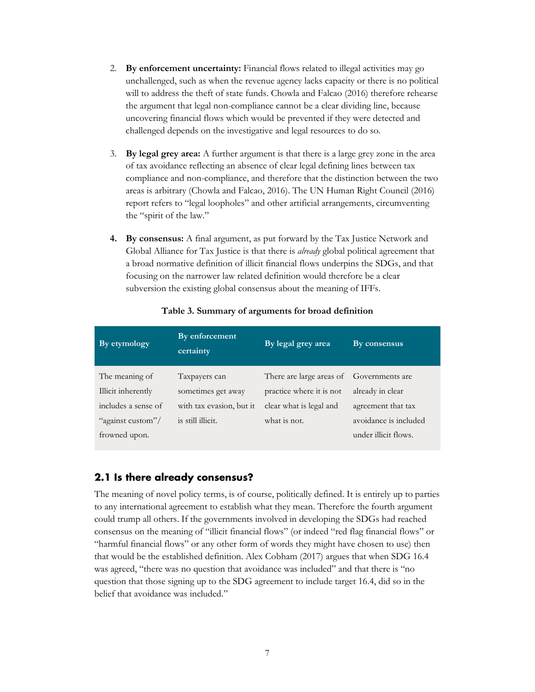- 2. **By enforcement uncertainty:** Financial flows related to illegal activities may go unchallenged, such as when the revenue agency lacks capacity or there is no political will to address the theft of state funds. Chowla and Falcao (2016) therefore rehearse the argument that legal non-compliance cannot be a clear dividing line, because uncovering financial flows which would be prevented if they were detected and challenged depends on the investigative and legal resources to do so.
- 3. **By legal grey area:** A further argument is that there is a large grey zone in the area of tax avoidance reflecting an absence of clear legal defining lines between tax compliance and non-compliance, and therefore that the distinction between the two areas is arbitrary (Chowla and Falcao, 2016). The UN Human Right Council (2016) report refers to "legal loopholes" and other artificial arrangements, circumventing the "spirit of the law."
- **4. By consensus:** A final argument, as put forward by the Tax Justice Network and Global Alliance for Tax Justice is that there is *already* global political agreement that a broad normative definition of illicit financial flows underpins the SDGs, and that focusing on the narrower law related definition would therefore be a clear subversion the existing global consensus about the meaning of IFFs.

| By etymology        | By enforcement<br>certainty | By legal grey area                       | By consensus          |
|---------------------|-----------------------------|------------------------------------------|-----------------------|
| The meaning of      | Taxpayers can               | There are large areas of Governments are |                       |
| Illicit inherently  | sometimes get away          | practice where it is not                 | already in clear      |
| includes a sense of | with tax evasion, but it    | clear what is legal and                  | agreement that tax    |
| "against custom"/   | is still illicit.           | what is not.                             | avoidance is included |
| frowned upon.       |                             |                                          | under illicit flows.  |

#### **Table 3. Summary of arguments for broad definition**

#### <span id="page-8-0"></span>**2.1 Is there already consensus?**

The meaning of novel policy terms, is of course, politically defined. It is entirely up to parties to any international agreement to establish what they mean. Therefore the fourth argument could trump all others. If the governments involved in developing the SDGs had reached consensus on the meaning of "illicit financial flows" (or indeed "red flag financial flows" or "harmful financial flows" or any other form of words they might have chosen to use) then that would be the established definition. Alex Cobham (2017) argues that when SDG 16.4 was agreed, "there was no question that avoidance was included" and that there is "no question that those signing up to the SDG agreement to include target 16.4, did so in the belief that avoidance was included."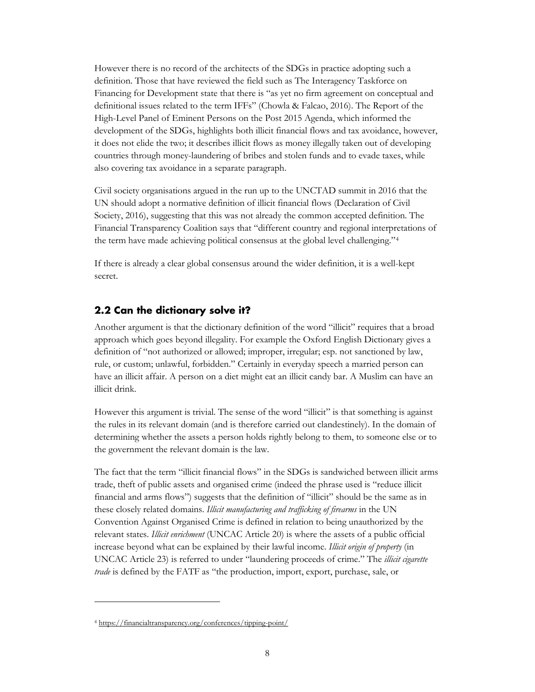However there is no record of the architects of the SDGs in practice adopting such a definition. Those that have reviewed the field such as The Interagency Taskforce on Financing for Development state that there is "as yet no firm agreement on conceptual and definitional issues related to the term IFFs" (Chowla & Falcao, 2016). The Report of the High-Level Panel of Eminent Persons on the Post 2015 Agenda, which informed the development of the SDGs, highlights both illicit financial flows and tax avoidance, however, it does not elide the two; it describes illicit flows as money illegally taken out of developing countries through money-laundering of bribes and stolen funds and to evade taxes, while also covering tax avoidance in a separate paragraph.

Civil society organisations argued in the run up to the UNCTAD summit in 2016 that the UN should adopt a normative definition of illicit financial flows (Declaration of Civil Society, 2016), suggesting that this was not already the common accepted definition. The Financial Transparency Coalition says that "different country and regional interpretations of the term have made achieving political consensus at the global level challenging."[4](#page-9-1)

If there is already a clear global consensus around the wider definition, it is a well-kept secret.

#### <span id="page-9-0"></span>**2.2 Can the dictionary solve it?**

Another argument is that the dictionary definition of the word "illicit" requires that a broad approach which goes beyond illegality. For example the Oxford English Dictionary gives a definition of "not authorized or allowed; improper, irregular; esp. not sanctioned by law, rule, or custom; unlawful, forbidden." Certainly in everyday speech a married person can have an illicit affair. A person on a diet might eat an illicit candy bar. A Muslim can have an illicit drink.

However this argument is trivial. The sense of the word "illicit" is that something is against the rules in its relevant domain (and is therefore carried out clandestinely). In the domain of determining whether the assets a person holds rightly belong to them, to someone else or to the government the relevant domain is the law.

The fact that the term "illicit financial flows" in the SDGs is sandwiched between illicit arms trade, theft of public assets and organised crime (indeed the phrase used is "reduce illicit financial and arms flows") suggests that the definition of "illicit" should be the same as in these closely related domains. *Illicit manufacturing and trafficking of firearms* in the UN Convention Against Organised Crime is defined in relation to being unauthorized by the relevant states. *Illicit enrichment* (UNCAC Article 20) is where the assets of a public official increase beyond what can be explained by their lawful income. *Illicit origin of property* (in UNCAC Article 23) is referred to under "laundering proceeds of crime." The *illicit cigarette trade* is defined by the FATF as "the production, import, export, purchase, sale, or

 $\ddot{\phantom{a}}$ 

<span id="page-9-1"></span><sup>4</sup> <https://financialtransparency.org/conferences/tipping-point/>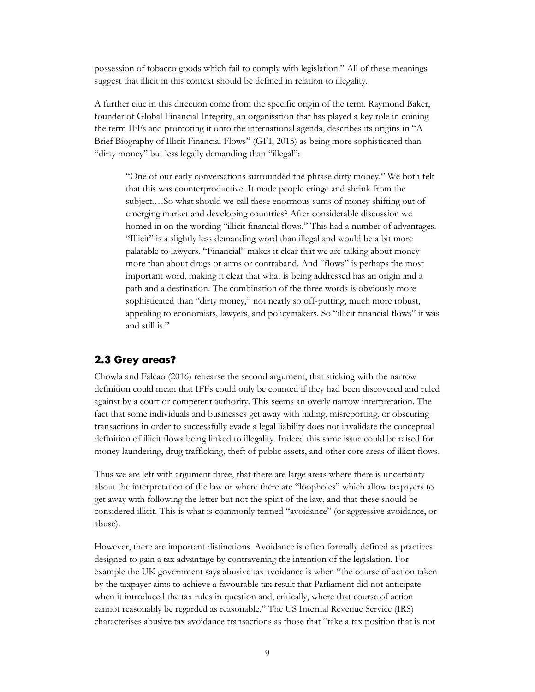possession of tobacco goods which fail to comply with legislation." All of these meanings suggest that illicit in this context should be defined in relation to illegality.

A further clue in this direction come from the specific origin of the term. Raymond Baker, founder of Global Financial Integrity, an organisation that has played a key role in coining the term IFFs and promoting it onto the international agenda, describes its origins in "A Brief Biography of Illicit Financial Flows" (GFI, 2015) as being more sophisticated than "dirty money" but less legally demanding than "illegal":

"One of our early conversations surrounded the phrase dirty money." We both felt that this was counterproductive. It made people cringe and shrink from the subject.…So what should we call these enormous sums of money shifting out of emerging market and developing countries? After considerable discussion we homed in on the wording "illicit financial flows." This had a number of advantages. "Illicit" is a slightly less demanding word than illegal and would be a bit more palatable to lawyers. "Financial" makes it clear that we are talking about money more than about drugs or arms or contraband. And "flows" is perhaps the most important word, making it clear that what is being addressed has an origin and a path and a destination. The combination of the three words is obviously more sophisticated than "dirty money," not nearly so off-putting, much more robust, appealing to economists, lawyers, and policymakers. So "illicit financial flows" it was and still is."

#### <span id="page-10-0"></span>**2.3 Grey areas?**

Chowla and Falcao (2016) rehearse the second argument, that sticking with the narrow definition could mean that IFFs could only be counted if they had been discovered and ruled against by a court or competent authority. This seems an overly narrow interpretation. The fact that some individuals and businesses get away with hiding, misreporting, or obscuring transactions in order to successfully evade a legal liability does not invalidate the conceptual definition of illicit flows being linked to illegality. Indeed this same issue could be raised for money laundering, drug trafficking, theft of public assets, and other core areas of illicit flows.

Thus we are left with argument three, that there are large areas where there is uncertainty about the interpretation of the law or where there are "loopholes" which allow taxpayers to get away with following the letter but not the spirit of the law, and that these should be considered illicit. This is what is commonly termed "avoidance" (or aggressive avoidance, or abuse).

However, there are important distinctions. Avoidance is often formally defined as practices designed to gain a tax advantage by contravening the intention of the legislation. For example the UK government says abusive tax avoidance is when "the course of action taken by the taxpayer aims to achieve a favourable tax result that Parliament did not anticipate when it introduced the tax rules in question and, critically, where that course of action cannot reasonably be regarded as reasonable." The US Internal Revenue Service (IRS) characterises abusive tax avoidance transactions as those that "take a tax position that is not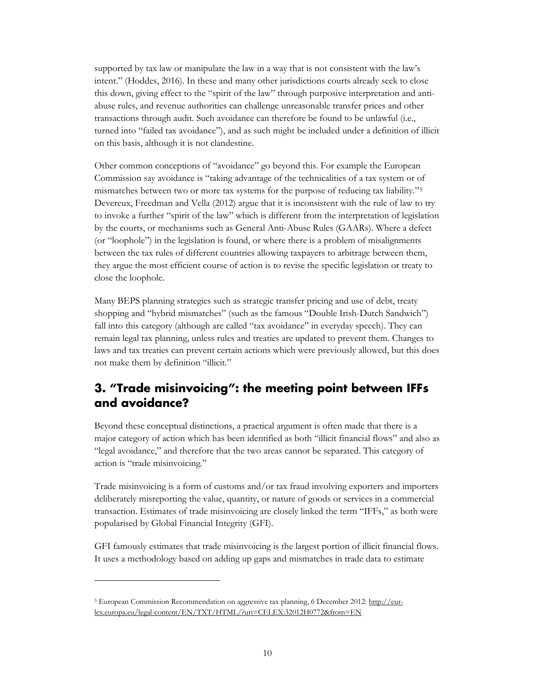supported by tax law or manipulate the law in a way that is not consistent with the law's intent." (Hoddes, 2016). In these and many other jurisdictions courts already seek to close this down, giving effect to the "spirit of the law" through purposive interpretation and antiabuse rules, and revenue authorities can challenge unreasonable transfer prices and other transactions through audit. Such avoidance can therefore be found to be unlawful (i.e., turned into "failed tax avoidance"), and as such might be included under a definition of illicit on this basis, although it is not clandestine.

Other common conceptions of "avoidance" go beyond this. For example the European Commission say avoidance is "taking advantage of the technicalities of a tax system or of mismatches between two or more tax systems for the purpose of reducing tax liability."[5](#page-11-1) Devereux, Freedman and Vella (2012) argue that it is inconsistent with the rule of law to try to invoke a further "spirit of the law" which is different from the interpretation of legislation by the courts, or mechanisms such as General Anti-Abuse Rules (GAARs). Where a defect (or "loophole") in the legislation is found, or where there is a problem of misalignments between the tax rules of different countries allowing taxpayers to arbitrage between them, they argue the most efficient course of action is to revise the specific legislation or treaty to close the loophole.

Many BEPS planning strategies such as strategic transfer pricing and use of debt, treaty shopping and "hybrid mismatches" (such as the famous "Double Irish-Dutch Sandwich") fall into this category (although are called "tax avoidance" in everyday speech). They can remain legal tax planning, unless rules and treaties are updated to prevent them. Changes to laws and tax treaties can prevent certain actions which were previously allowed, but this does not make them by definition "illicit."

## <span id="page-11-0"></span>**3. "Trade misinvoicing": the meeting point between IFFs and avoidance?**

Beyond these conceptual distinctions, a practical argument is often made that there is a major category of action which has been identified as both "illicit financial flows" and also as "legal avoidance," and therefore that the two areas cannot be separated. This category of action is "trade misinvoicing."

Trade misinvoicing is a form of customs and/or tax fraud involving exporters and importers deliberately misreporting the value, quantity, or nature of goods or services in a commercial transaction. Estimates of trade misinvoicing are closely linked the term "IFFs," as both were popularised by Global Financial Integrity (GFI).

GFI famously estimates that trade misinvoicing is the largest portion of illicit financial flows. It uses a methodology based on adding up gaps and mismatches in trade data to estimate

 $\overline{a}$ 

<span id="page-11-1"></span><sup>&</sup>lt;sup>5</sup> European Commission Recommendation on aggressive tax planning, 6 December 2012: [http://eur](http://eur-lex.europa.eu/legal-content/EN/TXT/HTML/?uri=CELEX:32012H0772&from=EN)[lex.europa.eu/legal-content/EN/TXT/HTML/?uri=CELEX:32012H0772&from=EN](http://eur-lex.europa.eu/legal-content/EN/TXT/HTML/?uri=CELEX:32012H0772&from=EN)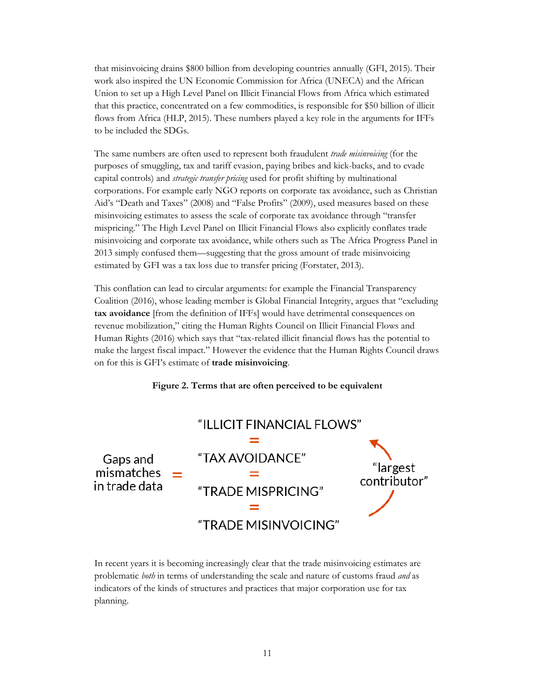that misinvoicing drains \$800 billion from developing countries annually (GFI, 2015). Their work also inspired the UN Economic Commission for Africa (UNECA) and the African Union to set up a High Level Panel on Illicit Financial Flows from Africa which estimated that this practice, concentrated on a few commodities, is responsible for \$50 billion of illicit flows from Africa (HLP, 2015). These numbers played a key role in the arguments for IFFs to be included the SDGs.

The same numbers are often used to represent both fraudulent *trade misinvoicing* (for the purposes of smuggling, tax and tariff evasion, paying bribes and kick-backs, and to evade capital controls) and *strategic transfer pricing* used for profit shifting by multinational corporations. For example early NGO reports on corporate tax avoidance, such as Christian Aid's "Death and Taxes" (2008) and "False Profits" (2009), used measures based on these misinvoicing estimates to assess the scale of corporate tax avoidance through "transfer mispricing." The High Level Panel on Illicit Financial Flows also explicitly conflates trade misinvoicing and corporate tax avoidance, while others such as The Africa Progress Panel in 2013 simply confused them—suggesting that the gross amount of trade misinvoicing estimated by GFI was a tax loss due to transfer pricing (Forstater, 2013).

This conflation can lead to circular arguments: for example the Financial Transparency Coalition (2016), whose leading member is Global Financial Integrity, argues that "excluding **tax avoidance** [from the definition of IFFs] would have detrimental consequences on revenue mobilization," citing the Human Rights Council on Illicit Financial Flows and Human Rights (2016) which says that "tax-related illicit financial flows has the potential to make the largest fiscal impact." However the evidence that the Human Rights Council draws on for this is GFI's estimate of **trade misinvoicing**.





In recent years it is becoming increasingly clear that the trade misinvoicing estimates are problematic *both* in terms of understanding the scale and nature of customs fraud *and* as indicators of the kinds of structures and practices that major corporation use for tax planning.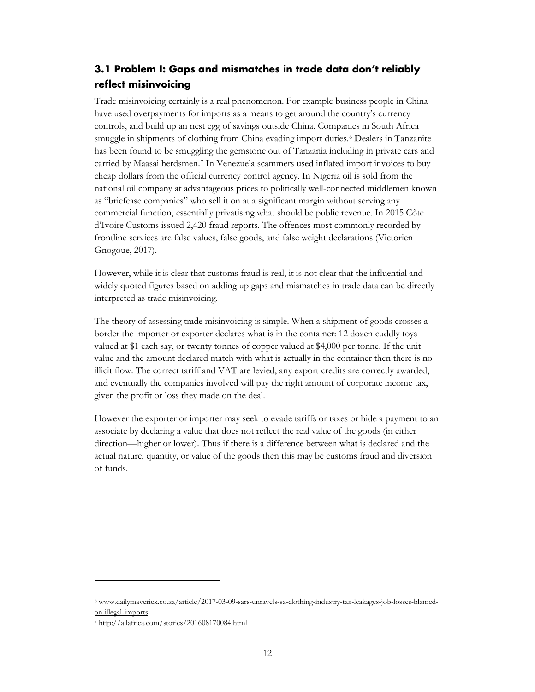## <span id="page-13-0"></span>**3.1 Problem I: Gaps and mismatches in trade data don't reliably reflect misinvoicing**

Trade misinvoicing certainly is a real phenomenon. For example business people in China have used overpayments for imports as a means to get around the country's currency controls, and build up an nest egg of savings outside China. Companies in South Africa smuggle in shipments of clothing from China evading import duties.[6](#page-13-1) Dealers in Tanzanite has been found to be smuggling the gemstone out of Tanzania including in private cars and carried by Maasai herdsmen.[7](#page-13-2) In Venezuela scammers used inflated import invoices to buy cheap dollars from the official currency control agency. In Nigeria oil is sold from the national oil company at advantageous prices to politically well-connected middlemen known as "briefcase companies" who sell it on at a significant margin without serving any commercial function, essentially privatising what should be public revenue. In 2015 Côte d'Ivoire Customs issued 2,420 fraud reports. The offences most commonly recorded by frontline services are false values, false goods, and false weight declarations (Victorien Gnogoue, 2017).

However, while it is clear that customs fraud is real, it is not clear that the influential and widely quoted figures based on adding up gaps and mismatches in trade data can be directly interpreted as trade misinvoicing.

The theory of assessing trade misinvoicing is simple. When a shipment of goods crosses a border the importer or exporter declares what is in the container: 12 dozen cuddly toys valued at \$1 each say, or twenty tonnes of copper valued at \$4,000 per tonne. If the unit value and the amount declared match with what is actually in the container then there is no illicit flow. The correct tariff and VAT are levied, any export credits are correctly awarded, and eventually the companies involved will pay the right amount of corporate income tax, given the profit or loss they made on the deal.

However the exporter or importer may seek to evade tariffs or taxes or hide a payment to an associate by declaring a value that does not reflect the real value of the goods (in either direction—higher or lower). Thus if there is a difference between what is declared and the actual nature, quantity, or value of the goods then this may be customs fraud and diversion of funds.

 $\overline{a}$ 

<span id="page-13-1"></span><sup>6</sup> [www.dailymaverick.co.za/article/2017-03-09-sars-unravels-sa-clothing-industry-tax-leakages-job-losses-blamed](http://www.dailymaverick.co.za/article/2017-03-09-sars-unravels-sa-clothing-industry-tax-leakages-job-losses-blamed-on-illegal-imports)[on-illegal-imports](http://www.dailymaverick.co.za/article/2017-03-09-sars-unravels-sa-clothing-industry-tax-leakages-job-losses-blamed-on-illegal-imports)

<span id="page-13-2"></span><sup>7</sup> <http://allafrica.com/stories/201608170084.html>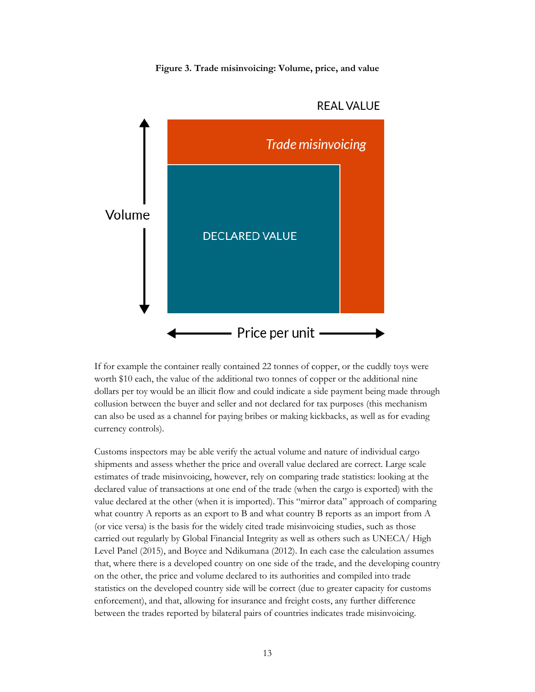**Figure 3. Trade misinvoicing: Volume, price, and value**



#### **REAL VALUE**

If for example the container really contained 22 tonnes of copper, or the cuddly toys were worth \$10 each, the value of the additional two tonnes of copper or the additional nine dollars per toy would be an illicit flow and could indicate a side payment being made through collusion between the buyer and seller and not declared for tax purposes (this mechanism can also be used as a channel for paying bribes or making kickbacks, as well as for evading currency controls).

Customs inspectors may be able verify the actual volume and nature of individual cargo shipments and assess whether the price and overall value declared are correct. Large scale estimates of trade misinvoicing, however, rely on comparing trade statistics: looking at the declared value of transactions at one end of the trade (when the cargo is exported) with the value declared at the other (when it is imported). This "mirror data" approach of comparing what country A reports as an export to B and what country B reports as an import from A (or vice versa) is the basis for the widely cited trade misinvoicing studies, such as those carried out regularly by Global Financial Integrity as well as others such as UNECA/ High Level Panel (2015), and Boyce and Ndikumana (2012). In each case the calculation assumes that, where there is a developed country on one side of the trade, and the developing country on the other, the price and volume declared to its authorities and compiled into trade statistics on the developed country side will be correct (due to greater capacity for customs enforcement), and that, allowing for insurance and freight costs, any further difference between the trades reported by bilateral pairs of countries indicates trade misinvoicing.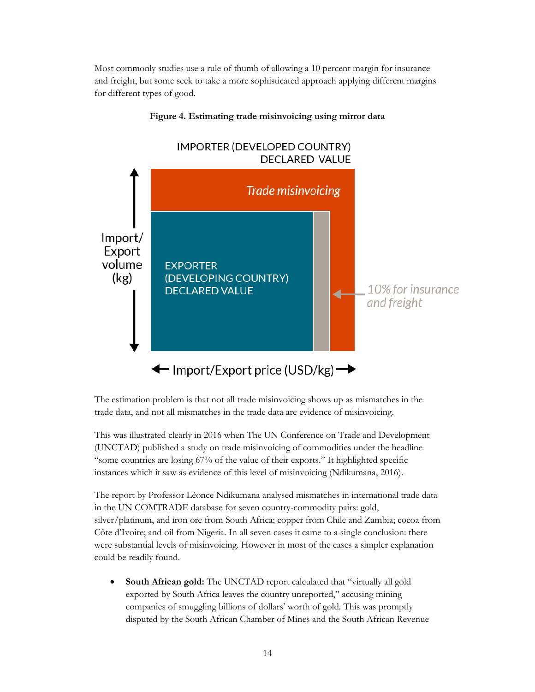Most commonly studies use a rule of thumb of allowing a 10 percent margin for insurance and freight, but some seek to take a more sophisticated approach applying different margins for different types of good.



#### **Figure 4. Estimating trade misinvoicing using mirror data**

The estimation problem is that not all trade misinvoicing shows up as mismatches in the trade data, and not all mismatches in the trade data are evidence of misinvoicing.

This was illustrated clearly in 2016 when The UN Conference on Trade and Development (UNCTAD) published a study on trade misinvoicing of commodities under the headline "some countries are losing 67% of the value of their exports." It highlighted specific instances which it saw as evidence of this level of misinvoicing (Ndikumana, 2016).

The report by Professor Léonce Ndikumana analysed mismatches in international trade data in the UN COMTRADE database for seven country-commodity pairs: gold, silver/platinum, and iron ore from South Africa; copper from Chile and Zambia; cocoa from Côte d'Ivoire; and oil from Nigeria. In all seven cases it came to a single conclusion: there were substantial levels of misinvoicing. However in most of the cases a simpler explanation could be readily found.

• **South African gold:** The UNCTAD report calculated that "virtually all gold exported by South Africa leaves the country unreported," accusing mining companies of smuggling billions of dollars' worth of gold. This was promptly disputed by the South African Chamber of Mines and the South African Revenue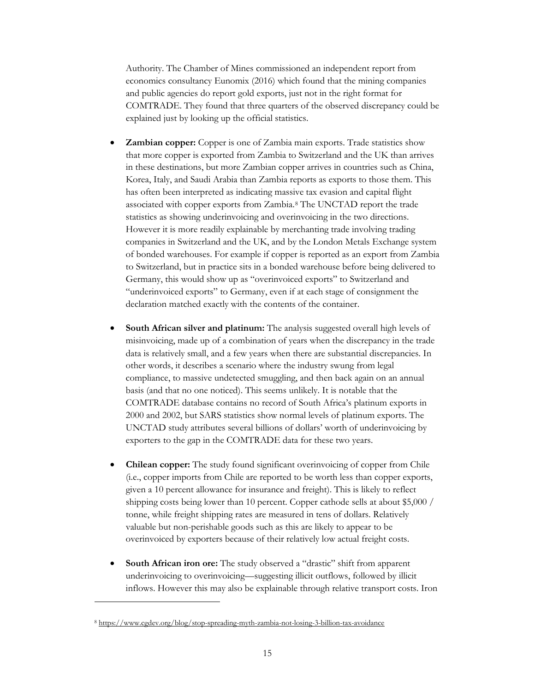Authority. The Chamber of Mines commissioned an independent report from economics consultancy [Eunomix](http://www.chamberofmines.org.za/component/jdownloads/send/25-downloads/336-eunomix-a-review-of-the-unctad-report) (2016) which found that the mining companies and public agencies do report gold exports, just not in the right format for COMTRADE. They found that three quarters of the observed discrepancy could be explained just by looking up the official statistics.

- **Zambian copper:** Copper is one of Zambia main exports. Trade statistics show that more copper is exported from Zambia to Switzerland and the UK than arrives in these destinations, but more Zambian copper arrives in countries such as China, Korea, Italy, and Saudi Arabia than Zambia reports as exports to those them. This has often been interpreted as indicating massive tax evasion and capital flight associated with copper exports from Zambia.[8](#page-16-0) The UNCTAD report the trade statistics as showing underinvoicing and overinvoicing in the two directions. However it is more readily explainable by merchanting trade involving trading companies in Switzerland and the UK, and by the London Metals Exchange system of bonded warehouses. For example if copper is reported as an export from Zambia to Switzerland, but in practice sits in a bonded warehouse before being delivered to Germany, this would show up as "overinvoiced exports" to Switzerland and "underinvoiced exports" to Germany, even if at each stage of consignment the declaration matched exactly with the contents of the container.
- **South African silver and platinum:** The analysis suggested overall high levels of misinvoicing, made up of a combination of years when the discrepancy in the trade data is relatively small, and a few years when there are substantial discrepancies. In other words, it describes a scenario where the industry swung from legal compliance, to massive undetected smuggling, and then back again on an annual basis (and that no one noticed). This seems unlikely. It is notable that the COMTRADE database contains no record of South Africa's platinum exports in 2000 and 2002, but SARS statistics show normal levels of platinum exports. The UNCTAD study attributes several billions of dollars' worth of underinvoicing by exporters to the gap in the COMTRADE data for these two years.
- **Chilean copper:** The study found significant overinvoicing of copper from Chile (i.e., copper imports from Chile are reported to be worth less than copper exports, given a 10 percent allowance for insurance and freight). This is likely to reflect shipping costs being lower than 10 percent. Copper cathode sells at about \$5,000 / tonne, while freight shipping rates are measured in tens of dollars. Relatively valuable but non-perishable goods such as this are likely to appear to be overinvoiced by exporters because of their relatively low actual freight costs.
- **South African iron ore:** The study observed a "drastic" shift from apparent underinvoicing to overinvoicing—suggesting illicit outflows, followed by illicit inflows. However this may also be explainable through relative transport costs. Iron

 $\ddot{\phantom{a}}$ 

<span id="page-16-0"></span><sup>8</sup> <https://www.cgdev.org/blog/stop-spreading-myth-zambia-not-losing-3-billion-tax-avoidance>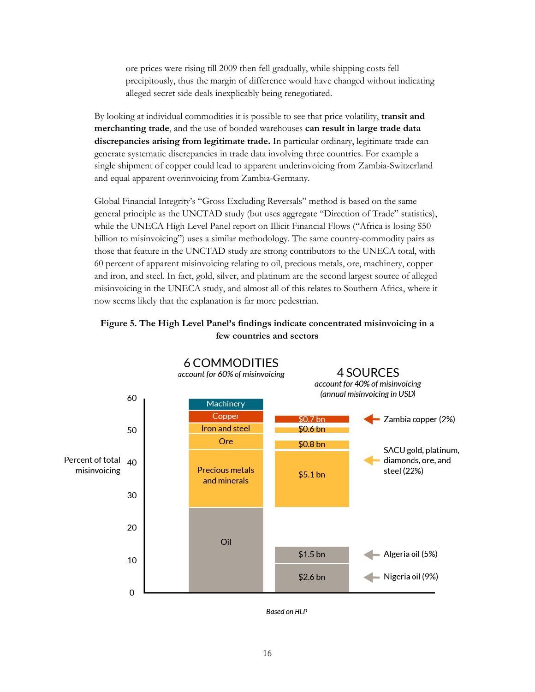ore prices were rising till 2009 then fell gradually, while shipping costs fell precipitously, thus the margin of difference would have changed without indicating alleged secret side deals inexplicably being renegotiated.

By looking at individual commodities it is possible to see that price volatility, **transit and merchanting trade**, and the use of bonded warehouses **can result in large trade data discrepancies arising from legitimate trade.** In particular ordinary, legitimate trade can generate systematic discrepancies in trade data involving three countries. For example a single shipment of copper could lead to apparent underinvoicing from Zambia-Switzerland and equal apparent overinvoicing from Zambia-Germany.

Global Financial Integrity's "Gross Excluding Reversals" method is based on the same general principle as the UNCTAD study (but uses aggregate "Direction of Trade" statistics), while the [UNECA High Level Panel](http://www.uneca.org/sites/default/files/PublicationFiles/iff_main_report_26feb_en.pdf) report on Illicit Financial Flows ("Africa is losing \$50 billion to misinvoicing") uses a similar methodology. The same country-commodity pairs as those that feature in the UNCTAD study are strong contributors to the UNECA total, with 60 percent of apparent misinvoicing relating to oil, precious metals, ore, machinery, copper and iron, and steel. In fact, gold, silver, and platinum are the second largest source of alleged misinvoicing in the UNECA study, and almost all of this relates to Southern Africa, where it now seems likely that the explanation is far more pedestrian.





**Based on HLP**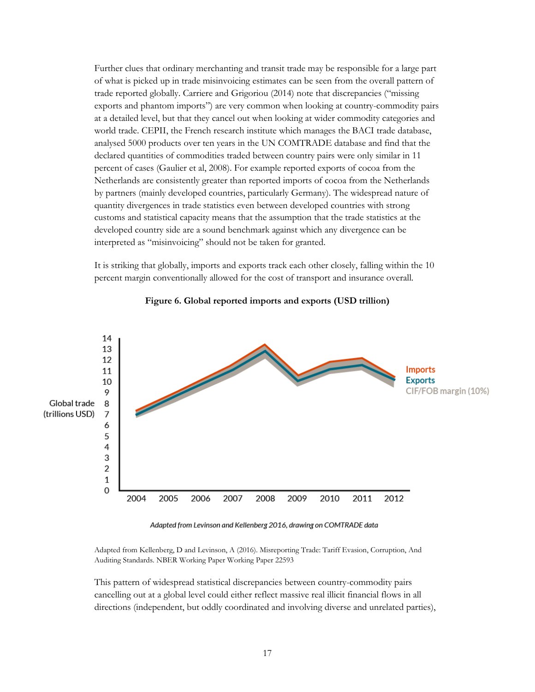Further clues that ordinary merchanting and transit trade may be responsible for a large part of what is picked up in trade misinvoicing estimates can be seen from the overall pattern of trade reported globally. Carriere and Grigoriou (2014) note that discrepancies ("missing exports and phantom imports") are very common when looking at country-commodity pairs at a detailed level, but that they cancel out when looking at wider commodity categories and world trade. CEPII, the French research institute which manages the BACI trade database, analysed 5000 products over ten years in the UN COMTRADE database and find that the declared quantities of commodities traded between country pairs were only similar in 11 percent of cases (Gaulier et al, 2008). For example reported exports of cocoa from the Netherlands are consistently greater than reported imports of cocoa from the Netherlands by partners (mainly developed countries, particularly Germany). The widespread nature of quantity divergences in trade statistics even between developed countries with strong customs and statistical capacity means that the assumption that the trade statistics at the developed country side are a sound benchmark against which any divergence can be interpreted as "misinvoicing" should not be taken for granted.

It is striking that globally, imports and exports track each other closely, falling within the 10 percent margin conventionally allowed for the cost of transport and insurance overall.



#### **Figure 6. Global reported imports and exports (USD trillion)**

Adapted from Levinson and Kellenberg 2016, drawing on COMTRADE data

Adapted from Kellenberg, D and Levinson, A (2016). Misreporting Trade: Tariff Evasion, Corruption, And Auditing Standards. NBER Working Paper Working Paper 22593

This pattern of widespread statistical discrepancies between country-commodity pairs cancelling out at a global level could either reflect massive real illicit financial flows in all directions (independent, but oddly coordinated and involving diverse and unrelated parties),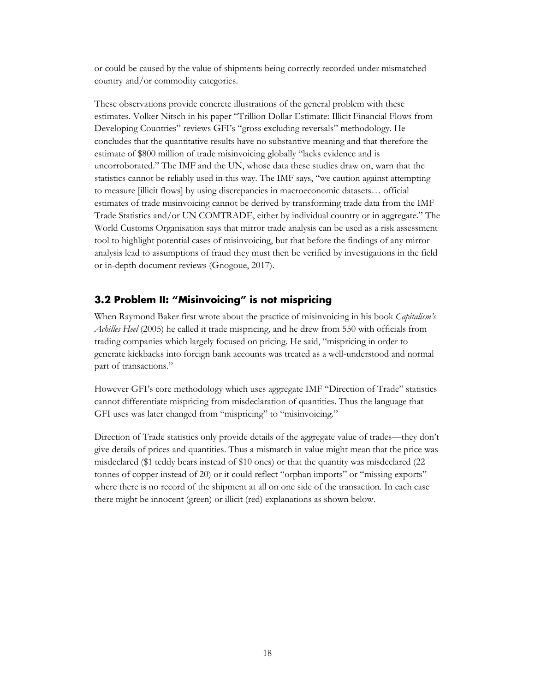or could be caused by the value of shipments being correctly recorded under mismatched country and/or commodity categories.

These observations provide concrete illustrations of the general problem with these estimates. Volker Nitsch in his paper "Trillion Dollar Estimate: Illicit Financial Flows from Developing Countries" reviews GFI's "gross excluding reversals" methodology. He concludes that the quantitative results have no substantive meaning and that therefore the estimate of \$800 million of trade misinvoicing globally "lacks evidence and is uncorroborated." The IMF and the UN, whose data these studies draw on, warn that the statistics cannot be reliably used in this way. The IMF says, "we caution against attempting to measure [illicit flows] by using discrepancies in macroeconomic datasets… official estimates of trade misinvoicing cannot be derived by transforming trade data from the IMF Trade Statistics and/or UN COMTRADE, either by individual country or in aggregate." The World Customs Organisation says that mirror trade analysis can be used as a risk assessment tool to highlight potential cases of misinvoicing, but that before the findings of any mirror analysis lead to assumptions of fraud they must then be verified by investigations in the field or in-depth document reviews (Gnogoue, 2017).

## <span id="page-19-0"></span>**3.2 Problem II: "Misinvoicing" is not mispricing**

When Raymond Baker first wrote about the practice of misinvoicing in his book *Capitalism's Achilles Heel* (2005) he called it trade mispricing, and he drew from 550 with officials from trading companies which largely focused on pricing. He said, "mispricing in order to generate kickbacks into foreign bank accounts was treated as a well-understood and normal part of transactions."

However GFI's core methodology which uses aggregate IMF "Direction of Trade" statistics cannot differentiate mispricing from misdeclaration of quantities. Thus the language that GFI uses was later changed from "mispricing" to "misinvoicing."

Direction of Trade statistics only provide details of the aggregate value of trades—they don't give details of prices and quantities. Thus a mismatch in value might mean that the price was misdeclared (\$1 teddy bears instead of \$10 ones) or that the quantity was misdeclared (22 tonnes of copper instead of 20) or it could reflect "orphan imports" or "missing exports" where there is no record of the shipment at all on one side of the transaction. In each case there might be innocent (green) or illicit (red) explanations as shown below.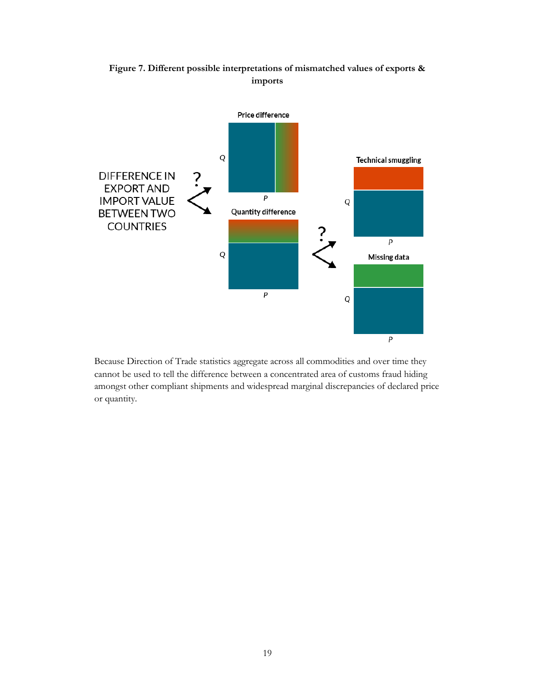

**Figure 7. Different possible interpretations of mismatched values of exports & imports**

Because Direction of Trade statistics aggregate across all commodities and over time they cannot be used to tell the difference between a concentrated area of customs fraud hiding amongst other compliant shipments and widespread marginal discrepancies of declared price or quantity.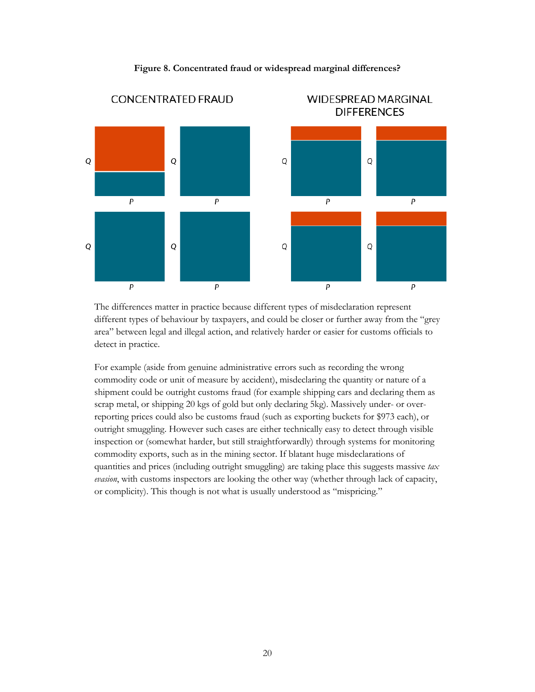

#### **Figure 8. Concentrated fraud or widespread marginal differences?**

The differences matter in practice because different types of misdeclaration represent different types of behaviour by taxpayers, and could be closer or further away from the "grey area" between legal and illegal action, and relatively harder or easier for customs officials to detect in practice.

For example (aside from genuine administrative errors such as recording the wrong commodity code or unit of measure by accident), misdeclaring the quantity or nature of a shipment could be outright customs fraud (for example shipping cars and declaring them as scrap metal, or shipping 20 kgs of gold but only declaring 5kg). Massively under- or overreporting prices could also be customs fraud (such as exporting buckets for \$973 each), or outright smuggling. However such cases are either technically easy to detect through visible inspection or (somewhat harder, but still straightforwardly) through systems for monitoring commodity exports, such as in the mining sector. If blatant huge misdeclarations of quantities and prices (including outright smuggling) are taking place this suggests massive *tax evasion*, with customs inspectors are looking the other way (whether through lack of capacity, or complicity). This though is not what is usually understood as "mispricing."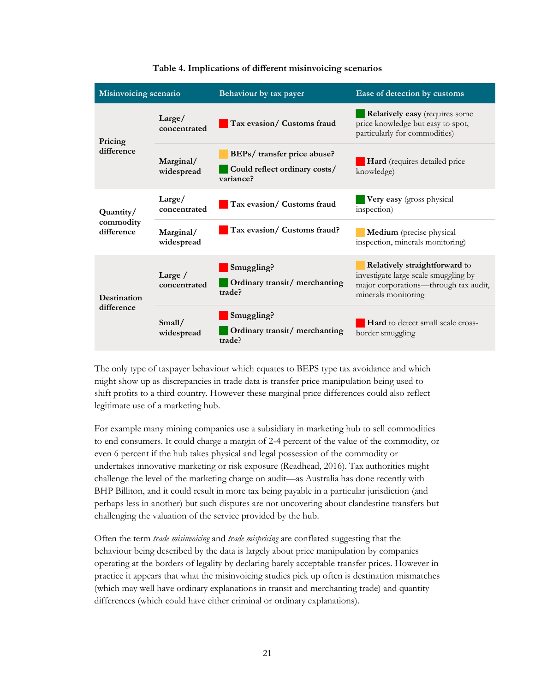| Misinvoicing scenario                |                           | Behaviour by tax payer                                                    | Ease of detection by customs                                                                                                          |
|--------------------------------------|---------------------------|---------------------------------------------------------------------------|---------------------------------------------------------------------------------------------------------------------------------------|
| Pricing<br>difference                | Large/<br>concentrated    | Tax evasion/ Customs fraud                                                | <b>Relatively easy</b> (requires some<br>price knowledge but easy to spot,<br>particularly for commodities)                           |
|                                      | Marginal/<br>widespread   | BEPs/ transfer price abuse?<br>Could reflect ordinary costs/<br>variance? | Hard (requires detailed price<br>knowledge)                                                                                           |
| Quantity/<br>commodity<br>difference | Large/<br>concentrated    | Tax evasion/ Customs fraud                                                | Very easy (gross physical<br>inspection)                                                                                              |
|                                      | Marginal/<br>widespread   | Tax evasion/ Customs fraud?                                               | Medium (precise physical<br>inspection, minerals monitoring)                                                                          |
| <b>Destination</b><br>difference     | Large $/$<br>concentrated | Smuggling?<br>Ordinary transit/merchanting<br>trade?                      | Relatively straightforward to<br>investigate large scale smuggling by<br>major corporations-through tax audit,<br>minerals monitoring |
|                                      | Small/<br>widespread      | Smuggling?<br>Ordinary transit/merchanting<br>trade?                      | <b>Hard</b> to detect small scale cross-<br>border smuggling                                                                          |

#### **Table 4. Implications of different misinvoicing scenarios**

The only type of taxpayer behaviour which equates to BEPS type tax avoidance and which might show up as discrepancies in trade data is transfer price manipulation being used to shift profits to a third country. However these marginal price differences could also reflect legitimate use of a marketing hub.

For example many mining companies use a subsidiary in marketing hub to sell commodities to end consumers. It could charge a margin of 2-4 percent of the value of the commodity, or even 6 percent if the hub takes physical and legal possession of the commodity or undertakes innovative marketing or risk exposure (Readhead, 2016). Tax authorities might challenge the level of the marketing charge on audit—as Australia has done recently with BHP Billiton, and it could result in more tax being payable in a particular jurisdiction (and perhaps less in another) but such disputes are not uncovering about clandestine transfers but challenging the valuation of the service provided by the hub.

Often the term *trade misinvoicing* and *trade mispricing* are conflated suggesting that the behaviour being described by the data is largely about price manipulation by companies operating at the borders of legality by declaring barely acceptable transfer prices. However in practice it appears that what the misinvoicing studies pick up often is destination mismatches (which may well have ordinary explanations in transit and merchanting trade) and quantity differences (which could have either criminal or ordinary explanations).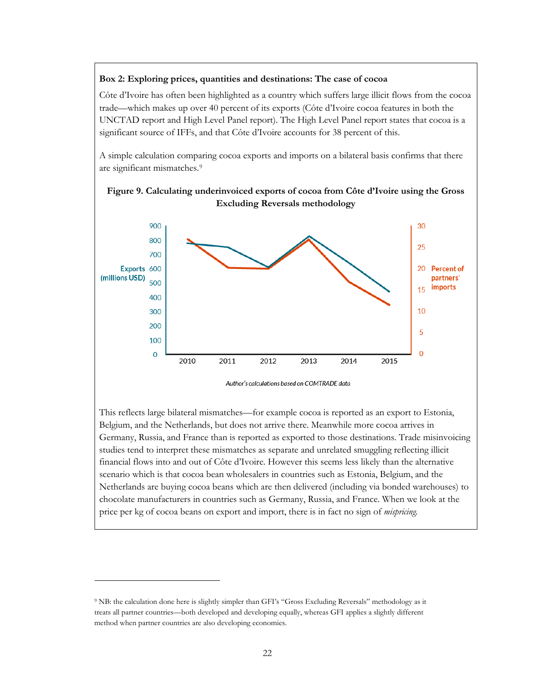#### **Box 2: Exploring prices, quantities and destinations: The case of cocoa**

Côte d'Ivoire has often been highlighted as a country which suffers large illicit flows from the cocoa trade—which makes up over 40 percent of its exports (Côte d'Ivoire cocoa features in both the UNCTAD report and High Level Panel report). The High Level Panel report states that cocoa is a significant source of IFFs, and that Côte d'Ivoire accounts for 38 percent of this.

A simple calculation comparing cocoa exports and imports on a bilateral basis confirms that there are significant mismatches.[9](#page-23-0)





Author's calculations based on COMTRADE data

This reflects large bilateral mismatches—for example cocoa is reported as an export to Estonia, Belgium, and the Netherlands, but does not arrive there. Meanwhile more cocoa arrives in Germany, Russia, and France than is reported as exported to those destinations. Trade misinvoicing studies tend to interpret these mismatches as separate and unrelated smuggling reflecting illicit financial flows into and out of Côte d'Ivoire. However this seems less likely than the alternative scenario which is that cocoa bean wholesalers in countries such as Estonia, Belgium, and the Netherlands are buying cocoa beans which are then delivered (including via bonded warehouses) to chocolate manufacturers in countries such as Germany, Russia, and France. When we look at the price per kg of cocoa beans on export and import, there is in fact no sign of *mispricing.*

 $\overline{a}$ 

<span id="page-23-0"></span><sup>9</sup> NB: the calculation done here is slightly simpler than GFI's "Gross Excluding Reversals" methodology as it treats all partner countries—both developed and developing equally, whereas GFI applies a slightly different method when partner countries are also developing economies.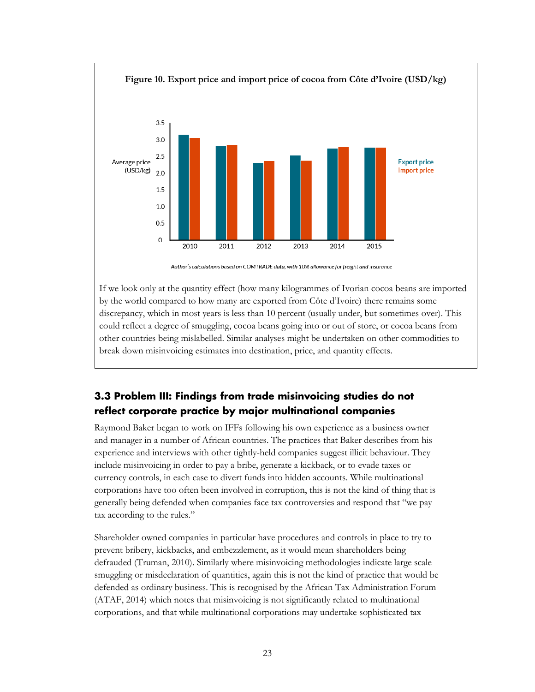

Author's calculations based on COMTRADE data, with 10% allowance for freight and insurance

If we look only at the quantity effect (how many kilogrammes of Ivorian cocoa beans are imported by the world compared to how many are exported from Côte d'Ivoire) there remains some discrepancy, which in most years is less than 10 percent (usually under, but sometimes over). This could reflect a degree of smuggling, cocoa beans going into or out of store, or cocoa beans from other countries being mislabelled. Similar analyses might be undertaken on other commodities to break down misinvoicing estimates into destination, price, and quantity effects.

## <span id="page-24-0"></span>**3.3 Problem III: Findings from trade misinvoicing studies do not reflect corporate practice by major multinational companies**

Raymond Baker began to work on IFFs following his own experience as a business owner and manager in a number of African countries. The practices that Baker describes from his experience and interviews with other tightly-held companies suggest illicit behaviour. They include misinvoicing in order to pay a bribe, generate a kickback, or to evade taxes or currency controls, in each case to divert funds into hidden accounts. While multinational corporations have too often been involved in corruption, this is not the kind of thing that is generally being defended when companies face tax controversies and respond that "we pay tax according to the rules."

Shareholder owned companies in particular have procedures and controls in place to try to prevent bribery, kickbacks, and embezzlement, as it would mean shareholders being defrauded (Truman, 2010). Similarly where misinvoicing methodologies indicate large scale smuggling or misdeclaration of quantities, again this is not the kind of practice that would be defended as ordinary business. This is recognised by the African Tax Administration Forum (ATAF, 2014) which notes that misinvoicing is not significantly related to multinational corporations, and that while multinational corporations may undertake sophisticated tax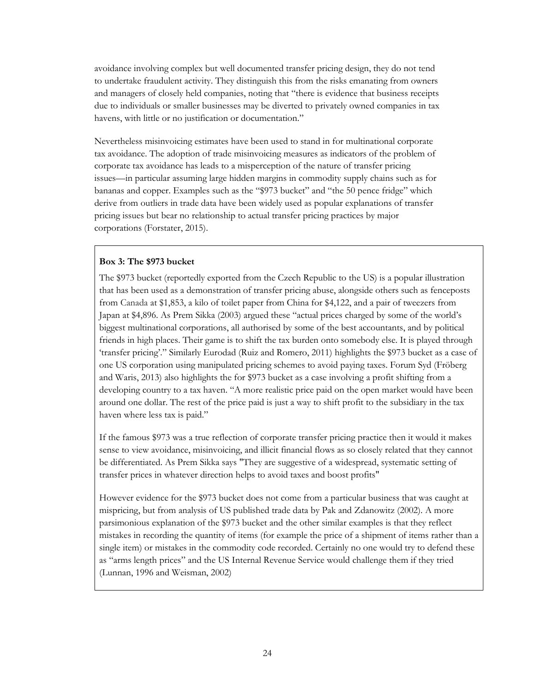avoidance involving complex but well documented transfer pricing design, they do not tend to undertake fraudulent activity. They distinguish this from the risks emanating from owners and managers of closely held companies, noting that "there is evidence that business receipts due to individuals or smaller businesses may be diverted to privately owned companies in tax havens, with little or no justification or documentation."

Nevertheless misinvoicing estimates have been used to stand in for multinational corporate tax avoidance. The adoption of trade misinvoicing measures as indicators of the problem of corporate tax avoidance has leads to a misperception of the nature of transfer pricing issues—in particular assuming large hidden margins in commodity supply chains such as for bananas and copper. Examples such as the "\$973 bucket" and "the 50 pence fridge" which derive from outliers in trade data have been widely used as popular explanations of transfer pricing issues but bear no relationship to actual transfer pricing practices by major corporations (Forstater, 2015).

#### **Box 3: The \$973 bucket**

The \$973 bucket (reportedly exported from the Czech Republic to the US) is a popular illustration that has been used as a demonstration of transfer pricing abuse, alongside others such as fenceposts from Canada at \$1,853, a kilo of toilet paper from China for \$4,122, and a pair of tweezers from Japan at \$4,896. As Prem Sikka (2003) argued these "actual prices charged by some of the world's biggest multinational corporations, all authorised by some of the best accountants, and by political friends in high places. Their game is to shift the tax burden onto somebody else. It is played through 'transfer pricing'." Similarly Eurodad (Ruiz and Romero, 2011) highlights the \$973 bucket as a case of one US corporation using manipulated pricing schemes to avoid paying taxes. Forum Syd (Fröberg and Waris, 2013) also highlights the for \$973 bucket as a case involving a profit shifting from a developing country to a tax haven. "A more realistic price paid on the open market would have been around one dollar. The rest of the price paid is just a way to shift profit to the subsidiary in the tax haven where less tax is paid."

If the famous \$973 was a true reflection of corporate transfer pricing practice then it would it makes sense to view avoidance, misinvoicing, and illicit financial flows as so closely related that they cannot be differentiated. As Prem Sikka says "They are suggestive of a widespread, systematic setting of transfer prices in whatever direction helps to avoid taxes and boost profits"

However evidence for the \$973 bucket does not come from a particular business that was caught at mispricing, but from analysis of US published trade data by Pak and Zdanowitz (2002). A more parsimonious explanation of the \$973 bucket and the other similar examples is that they reflect mistakes in recording the quantity of items (for example the price of a shipment of items rather than a single item) or mistakes in the commodity code recorded. Certainly no one would try to defend these as "arms length prices" and the US Internal Revenue Service would challenge them if they tried (Lunnan, 1996 and Weisman, 2002)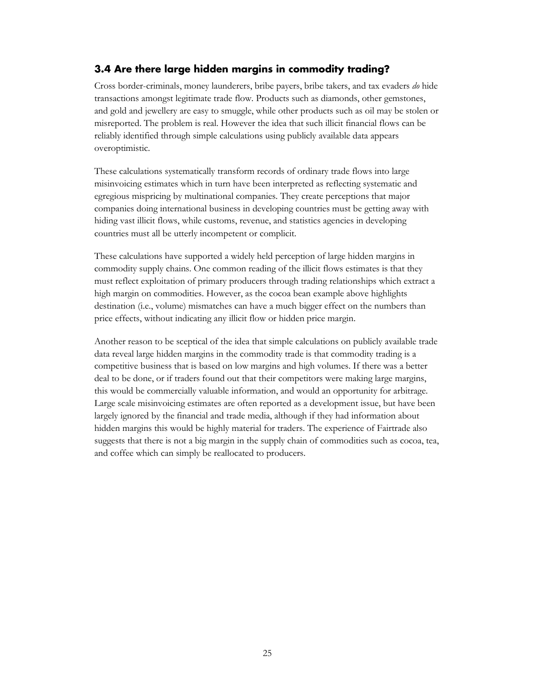#### <span id="page-26-0"></span>**3.4 Are there large hidden margins in commodity trading?**

Cross border-criminals, money launderers, bribe payers, bribe takers, and tax evaders *do* hide transactions amongst legitimate trade flow. Products such as diamonds, other gemstones, and gold and jewellery are easy to smuggle, while other products such as oil may be stolen or misreported. The problem is real. However the idea that such illicit financial flows can be reliably identified through simple calculations using publicly available data appears overoptimistic.

These calculations systematically transform records of ordinary trade flows into large misinvoicing estimates which in turn have been interpreted as reflecting systematic and egregious mispricing by multinational companies. They create perceptions that major companies doing international business in developing countries must be getting away with hiding vast illicit flows, while customs, revenue, and statistics agencies in developing countries must all be utterly incompetent or complicit.

These calculations have supported a widely held perception of large hidden margins in commodity supply chains. One common reading of the illicit flows estimates is that they must reflect exploitation of primary producers through trading relationships which extract a high margin on commodities. However, as the cocoa bean example above highlights destination (i.e., volume) mismatches can have a much bigger effect on the numbers than price effects, without indicating any illicit flow or hidden price margin.

Another reason to be sceptical of the idea that simple calculations on publicly available trade data reveal large hidden margins in the commodity trade is that commodity trading is a competitive business that is based on low margins and high volumes. If there was a better deal to be done, or if traders found out that their competitors were making large margins, this would be commercially valuable information, and would an opportunity for arbitrage. Large scale misinvoicing estimates are often reported as a development issue, but have been largely ignored by the financial and trade media, although if they had information about hidden margins this would be highly material for traders. The experience of Fairtrade also suggests that there is not a big margin in the supply chain of commodities such as cocoa, tea, and coffee which can simply be reallocated to producers.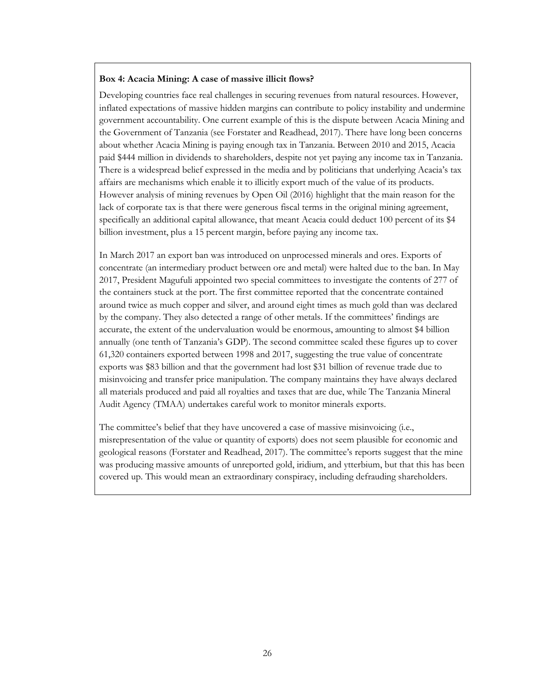#### **Box 4: Acacia Mining: A case of massive illicit flows?**

Developing countries face real challenges in securing revenues from natural resources. However, inflated expectations of massive hidden margins can contribute to policy instability and undermine government accountability. One current example of this is the dispute between Acacia Mining and the Government of Tanzania (see Forstater and Readhead, 2017). There have long been concerns about whether Acacia Mining is paying enough tax in Tanzania. Between 2010 and 2015, Acacia paid \$444 million in dividends to shareholders, despite not yet paying any income tax in Tanzania. There is a widespread belief expressed in the media and by politicians that underlying Acacia's tax affairs are mechanisms which enable it to illicitly export much of the value of its products. However analysis of mining revenues by Open Oil (2016) highlight that the main reason for the lack of corporate tax is that there were generous fiscal terms in the original mining agreement, specifically an additional capital allowance, that meant Acacia could deduct 100 percent of its \$4 billion investment, plus a 15 percent margin, before paying any income tax.

In March 2017 an export ban was introduced on unprocessed minerals and ores. Exports of concentrate (an intermediary product between ore and metal) were halted due to the ban. In May 2017, President Magufuli appointed two special committees to investigate the contents of 277 of the containers stuck at the port. The first committee reported that the concentrate contained around twice as much copper and silver, and around eight times as much gold than was declared by the company. They also detected a range of other metals. If the committees' findings are accurate, the extent of the undervaluation would be enormous, amounting to almost \$4 billion annually (one tenth of Tanzania's GDP). The second committee scaled these figures up to cover 61,320 containers exported between 1998 and 2017, suggesting the true value of concentrate exports was \$83 billion and that the government had lost \$31 billion of revenue trade due to misinvoicing and transfer price manipulation. The company maintains they have always declared all materials produced and paid all royalties and taxes that are due, while The Tanzania Mineral Audit Agency (TMAA) undertakes careful work to monitor minerals exports.

The committee's belief that they have uncovered a case of massive misinvoicing (i.e., misrepresentation of the value or quantity of exports) does not seem plausible for economic and geological reasons (Forstater and Readhead, 2017). The committee's reports suggest that the mine was producing massive amounts of unreported gold, iridium, and ytterbium, but that this has been covered up. This would mean an extraordinary conspiracy, including defrauding shareholders.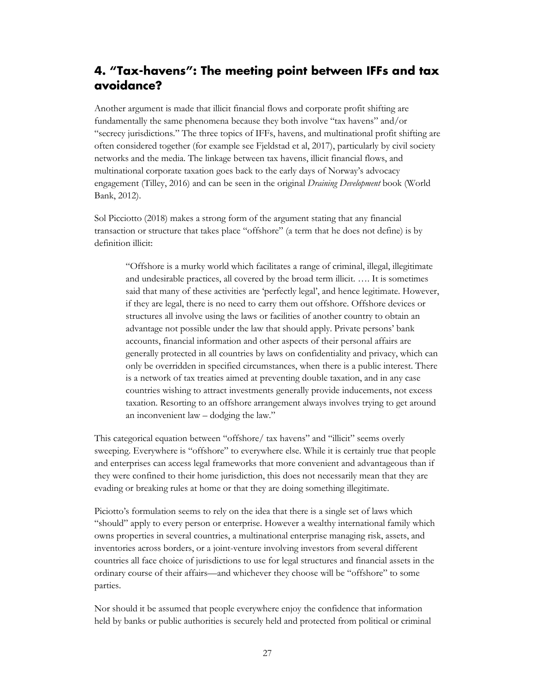## <span id="page-28-0"></span>**4. "Tax-havens": The meeting point between IFFs and tax avoidance?**

Another argument is made that illicit financial flows and corporate profit shifting are fundamentally the same phenomena because they both involve "tax havens" and/or "secrecy jurisdictions." The three topics of IFFs, havens, and multinational profit shifting are often considered together (for example see Fjeldstad et al, 2017), particularly by civil society networks and the media. The linkage between tax havens, illicit financial flows, and multinational corporate taxation goes back to the early days of Norway's advocacy engagement (Tilley, 2016) and can be seen in the original *Draining Development* book (World Bank, 2012).

Sol Picciotto (2018) makes a strong form of the argument stating that any financial transaction or structure that takes place "offshore" (a term that he does not define) is by definition illicit:

"Offshore is a murky world which facilitates a range of criminal, illegal, illegitimate and undesirable practices, all covered by the broad term illicit. …. It is sometimes said that many of these activities are 'perfectly legal', and hence legitimate. However, if they are legal, there is no need to carry them out offshore. Offshore devices or structures all involve using the laws or facilities of another country to obtain an advantage not possible under the law that should apply. Private persons' bank accounts, financial information and other aspects of their personal affairs are generally protected in all countries by laws on confidentiality and privacy, which can only be overridden in specified circumstances, when there is a public interest. There is a network of tax treaties aimed at preventing double taxation, and in any case countries wishing to attract investments generally provide inducements, not excess taxation. Resorting to an offshore arrangement always involves trying to get around an inconvenient law – dodging the law."

This categorical equation between "offshore/ tax havens" and "illicit" seems overly sweeping. Everywhere is "offshore" to everywhere else. While it is certainly true that people and enterprises can access legal frameworks that more convenient and advantageous than if they were confined to their home jurisdiction, this does not necessarily mean that they are evading or breaking rules at home or that they are doing something illegitimate.

Piciotto's formulation seems to rely on the idea that there is a single set of laws which "should" apply to every person or enterprise. However a wealthy international family which owns properties in several countries, a multinational enterprise managing risk, assets, and inventories across borders, or a joint-venture involving investors from several different countries all face choice of jurisdictions to use for legal structures and financial assets in the ordinary course of their affairs—and whichever they choose will be "offshore" to some parties.

Nor should it be assumed that people everywhere enjoy the confidence that information held by banks or public authorities is securely held and protected from political or criminal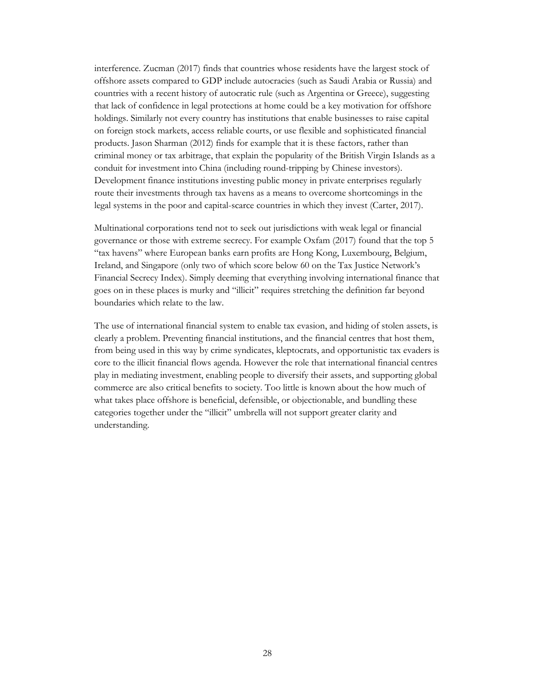interference. Zucman (2017) finds that countries whose residents have the largest stock of offshore assets compared to GDP include autocracies (such as Saudi Arabia or Russia) and countries with a recent history of autocratic rule (such as Argentina or Greece), suggesting that lack of confidence in legal protections at home could be a key motivation for offshore holdings. Similarly not every country has institutions that enable businesses to raise capital on foreign stock markets, access reliable courts, or use flexible and sophisticated financial products. Jason Sharman (2012) finds for example that it is these factors, rather than criminal money or tax arbitrage, that explain the popularity of the British Virgin Islands as a conduit for investment into China (including round-tripping by Chinese investors). Development finance institutions investing public money in private enterprises regularly route their investments through tax havens as a means to overcome shortcomings in the legal systems in the poor and capital-scarce countries in which they invest (Carter, 2017).

Multinational corporations tend not to seek out jurisdictions with weak legal or financial governance or those with extreme secrecy. For example Oxfam (2017) found that the top 5 "tax havens" where European banks earn profits are Hong Kong, Luxembourg, Belgium, Ireland, and Singapore (only two of which score below 60 on the Tax Justice Network's Financial Secrecy Index). Simply deeming that everything involving international finance that goes on in these places is murky and "illicit" requires stretching the definition far beyond boundaries which relate to the law.

The use of international financial system to enable tax evasion, and hiding of stolen assets, is clearly a problem. Preventing financial institutions, and the financial centres that host them, from being used in this way by crime syndicates, kleptocrats, and opportunistic tax evaders is core to the illicit financial flows agenda. However the role that international financial centres play in mediating investment, enabling people to diversify their assets, and supporting global commerce are also critical benefits to society. Too little is known about the how much of what takes place offshore is beneficial, defensible, or objectionable, and bundling these categories together under the "illicit" umbrella will not support greater clarity and understanding.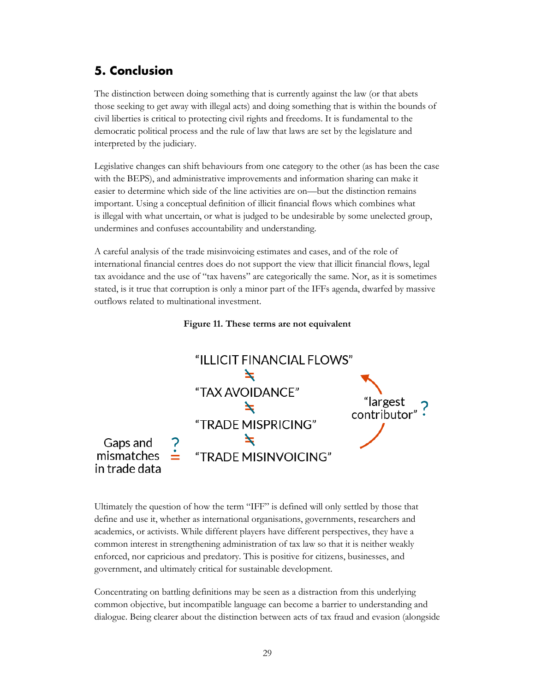## <span id="page-30-0"></span>**5. Conclusion**

The distinction between doing something that is currently against the law (or that abets those seeking to get away with illegal acts) and doing something that is within the bounds of civil liberties is critical to protecting civil rights and freedoms. It is fundamental to the democratic political process and the rule of law that laws are set by the legislature and interpreted by the judiciary.

Legislative changes can shift behaviours from one category to the other (as has been the case with the BEPS), and administrative improvements and information sharing can make it easier to determine which side of the line activities are on—but the distinction remains important. Using a conceptual definition of illicit financial flows which combines what is illegal with what uncertain, or what is judged to be undesirable by some unelected group, undermines and confuses accountability and understanding.

A careful analysis of the trade misinvoicing estimates and cases, and of the role of international financial centres does do not support the view that illicit financial flows, legal tax avoidance and the use of "tax havens" are categorically the same. Nor, as it is sometimes stated, is it true that corruption is only a minor part of the IFFs agenda, dwarfed by massive outflows related to multinational investment.



#### **Figure 11. These terms are not equivalent**

Ultimately the question of how the term "IFF" is defined will only settled by those that define and use it, whether as international organisations, governments, researchers and academics, or activists. While different players have different perspectives, they have a common interest in strengthening administration of tax law so that it is neither weakly enforced, nor capricious and predatory. This is positive for citizens, businesses, and government, and ultimately critical for sustainable development.

Concentrating on battling definitions may be seen as a distraction from this underlying common objective, but incompatible language can become a barrier to understanding and dialogue. Being clearer about the distinction between acts of tax fraud and evasion (alongside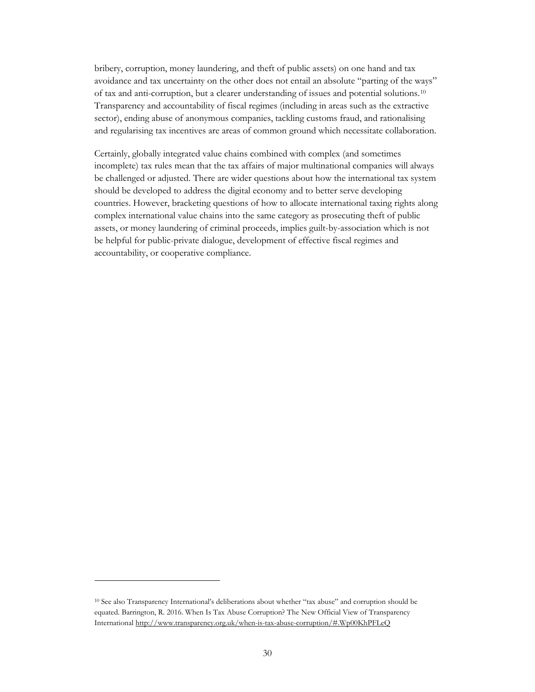bribery, corruption, money laundering, and theft of public assets) on one hand and tax avoidance and tax uncertainty on the other does not entail an absolute "parting of the ways" of tax and anti-corruption, but a clearer understanding of issues and potential solutions.[10](#page-31-0) Transparency and accountability of fiscal regimes (including in areas such as the extractive sector), ending abuse of anonymous companies, tackling customs fraud, and rationalising and regularising tax incentives are areas of common ground which necessitate collaboration.

Certainly, globally integrated value chains combined with complex (and sometimes incomplete) tax rules mean that the tax affairs of major multinational companies will always be challenged or adjusted. There are wider questions about how the international tax system should be developed to address the digital economy and to better serve developing countries. However, bracketing questions of how to allocate international taxing rights along complex international value chains into the same category as prosecuting theft of public assets, or money laundering of criminal proceeds, implies guilt-by-association which is not be helpful for public-private dialogue, development of effective fiscal regimes and accountability, or cooperative compliance.

 $\overline{a}$ 

<span id="page-31-0"></span><sup>10</sup> See also Transparency International's deliberations about whether "tax abuse" and corruption should be equated. Barrington, R. 2016. When Is Tax Abuse Corruption? The New Official View of Transparency International<http://www.transparency.org.uk/when-is-tax-abuse-corruption/#.Wp00KhPFLeQ>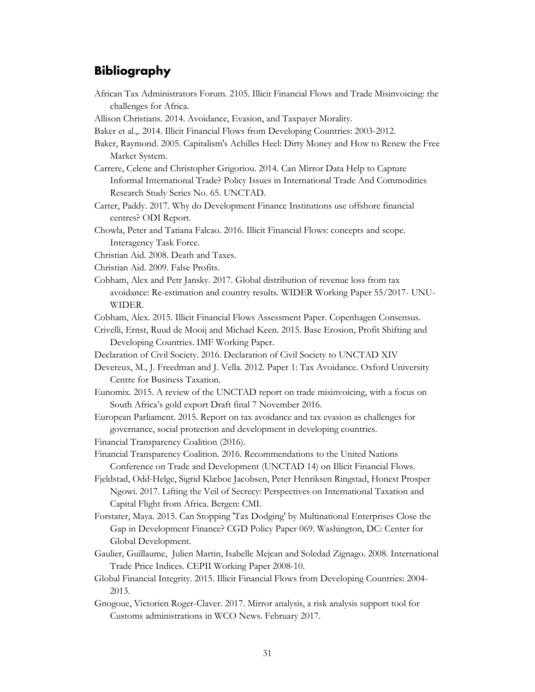## <span id="page-32-0"></span>**Bibliography**

- African Tax Administrators Forum. 2105. Illicit Financial Flows and Trade Misinvoicing: the challenges for Africa.
- Allison Christians. 2014. Avoidance, Evasion, and Taxpayer Morality.
- Baker et al.,. 2014. Illicit Financial Flows from Developing Countries: 2003-2012.
- Baker, Raymond. 2005. Capitalism's Achilles Heel: Dirty Money and How to Renew the Free Market System.
- Carrere, Celene and Christopher Grigoriou. 2014. Can Mirror Data Help to Capture Informal International Trade? Policy Issues in International Trade And Commodities Research Study Series No. 65. UNCTAD.
- Carter, Paddy. 2017. Why do Development Finance Institutions use offshore financial centres? ODI Report.
- Chowla, Peter and Tatiana Falcao. 2016. Illicit Financial Flows: concepts and scope. Interagency Task Force.
- Christian Aid. 2008. Death and Taxes.
- Christian Aid. 2009. False Profits.
- Cobham, Alex and Petr Jansky. 2017. Global distribution of revenue loss from tax avoidance: Re-estimation and country results. WIDER Working Paper 55/2017- UNU-WIDER.
- Cobham, Alex. 2015. Illicit Financial Flows Assessment Paper. Copenhagen Consensus.
- Crivelli, Ernst, Ruud de Mooij and Michael Keen. 2015. Base Erosion, Profit Shifting and Developing Countries. IMF Working Paper.
- Declaration of Civil Society. 2016. Declaration of Civil Society to UNCTAD XIV
- Devereux, M., J. Freedman and J. Vella. 2012. Paper 1: Tax Avoidance. Oxford University Centre for Business Taxation.
- Eunomix. 2015. A review of the UNCTAD report on trade misinvoicing, with a focus on South Africa's gold export Draft final 7 November 2016.
- European Parliament. 2015. Report on tax avoidance and tax evasion as challenges for governance, social protection and development in developing countries. Financial Transparency Coalition (2016).
- Financial Transparency Coalition. 2016. Recommendations to the United Nations Conference on Trade and Development (UNCTAD 14) on Illicit Financial Flows.
- Fjeldstad, Odd-Helge, Sigrid Klæboe Jacobsen, Peter Henriksen Ringstad, Honest Prosper Ngowi. 2017. Lifting the Veil of Secrecy: Perspectives on International Taxation and Capital Flight from Africa. Bergen: CMI.
- Forstater, Maya. 2015. Can Stopping 'Tax Dodging' by Multinational Enterprises Close the Gap in Development Finance? CGD Policy Paper 069. Washington, DC: Center for Global Development.
- Gaulier, [Guillaume,](https://papers.ssrn.com/sol3/cf_dev/AbsByAuth.cfm?per_id=1542546) [Julien Martin,](https://papers.ssrn.com/sol3/cf_dev/AbsByAuth.cfm?per_id=963804) [Isabelle Mejean](https://papers.ssrn.com/sol3/cf_dev/AbsByAuth.cfm?per_id=1180077) and [Soledad Zignago.](https://papers.ssrn.com/sol3/cf_dev/AbsByAuth.cfm?per_id=333384) 2008. International Trade Price Indices. CEPII Working Paper 2008-10.
- Global Financial Integrity. 2015. Illicit Financial Flows from Developing Countries: 2004- 2013.
- Gnogoue, Victorien Roger-Claver. 2017. Mirror analysis, a risk analysis support tool for Customs administrations in WCO News. February 2017.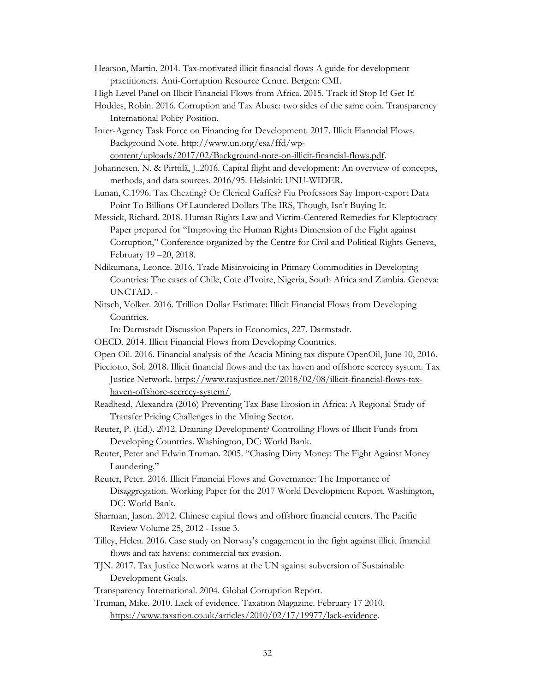- Hearson, Martin. 2014. Tax-motivated illicit financial flows A guide for development practitioners. Anti-Corruption Resource Centre. Bergen: CMI.
- High Level Panel on Illicit Financial Flows from Africa. 2015. Track it! Stop It! Get It!
- Hoddes, Robin. 2016. Corruption and Tax Abuse: two sides of the same coin. Transparency International Policy Position.
- Inter-Agency Task Force on Financing for Development. 2017. Illicit Fianncial Flows. Background Note. [http://www.un.org/esa/ffd/wp-](http://www.un.org/esa/ffd/wp-content/uploads/2017/02/Background-note-on-illicit-financial-flows.pdf)

[content/uploads/2017/02/Background-note-on-illicit-financial-flows.pdf.](http://www.un.org/esa/ffd/wp-content/uploads/2017/02/Background-note-on-illicit-financial-flows.pdf)

- Johannesen, N. & Pirttilä, J..2016. Capital flight and development: An overview of concepts, methods, and data sources. 2016/95. Helsinki: UNU-WIDER.
- Lunan, C.1996. Tax Cheating? Or Clerical Gaffes? Fiu Professors Say Import-export Data Point To Billions Of Laundered Dollars The IRS, Though, Isn't Buying It.
- Messick, Richard. 2018. Human Rights Law and Victim-Centered Remedies for Kleptocracy Paper prepared for "Improving the Human Rights Dimension of the Fight against Corruption," Conference organized by the Centre for Civil and Political Rights Geneva, February 19 –20, 2018.
- Ndikumana, Leonce. 2016. Trade Misinvoicing in Primary Commodities in Developing Countries: The cases of Chile, Cote d'Ivoire, Nigeria, South Africa and Zambia. Geneva: UNCTAD. -
- Nitsch, Volker. 2016. Trillion Dollar Estimate: Illicit Financial Flows from Developing Countries.

In: Darmstadt Discussion Papers in Economics, 227. Darmstadt.

- OECD. 2014. Illicit Financial Flows from Developing Countries.
- Open Oil. 2016. Financial analysis of the Acacia Mining tax dispute OpenOil, June 10, 2016.
- Picciotto, Sol. 2018. Illicit financial flows and the tax haven and offshore secrecy system. Tax Justice Network. [https://www.taxjustice.net/2018/02/08/illicit-financial-flows-tax](https://www.taxjustice.net/2018/02/08/illicit-financial-flows-tax-haven-offshore-secrecy-system/)[haven-offshore-secrecy-system/.](https://www.taxjustice.net/2018/02/08/illicit-financial-flows-tax-haven-offshore-secrecy-system/)
- Readhead, Alexandra (2016) Preventing Tax Base Erosion in Africa: A Regional Study of Transfer Pricing Challenges in the Mining Sector.
- Reuter, P. (Ed.). 2012. Draining Development? Controlling Flows of Illicit Funds from Developing Countries. Washington, DC: World Bank.
- Reuter, Peter and Edwin Truman. 2005. "Chasing Dirty Money: The Fight Against Money Laundering."
- Reuter, Peter. 2016. Illicit Financial Flows and Governance: The Importance of Disaggregation. Working Paper for the 2017 World Development Report. Washington, DC: World Bank.
- Sharman, Jason. 2012. Chinese capital flows and offshore financial centers. The Pacific Review Volume 25, 2012 - Issue 3.
- Tilley, Helen. 2016. Case study on Norway's engagement in the fight against illicit financial flows and tax havens: commercial tax evasion.
- TJN. 2017. Tax Justice Network warns at the UN against subversion of Sustainable Development Goals.
- Transparency International. 2004. Global Corruption Report.
- Truman, Mike. 2010. Lack of evidence. Taxation Magazine. February 17 2010. [https://www.taxation.co.uk/articles/2010/02/17/19977/lack-evidence.](https://www.taxation.co.uk/articles/2010/02/17/19977/lack-evidence)